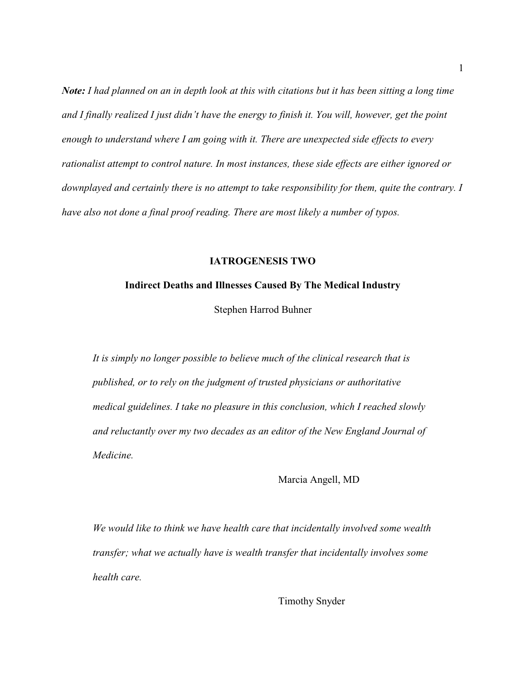*Note: I had planned on an in depth look at this with citations but it has been sitting a long time and I finally realized I just didn't have the energy to finish it. You will, however, get the point enough to understand where I am going with it. There are unexpected side effects to every rationalist attempt to control nature. In most instances, these side effects are either ignored or downplayed and certainly there is no attempt to take responsibility for them, quite the contrary. I have also not done a final proof reading. There are most likely a number of typos.* 

#### **IATROGENESIS TWO**

#### **Indirect Deaths and Illnesses Caused By The Medical Industry**

Stephen Harrod Buhner

*It is simply no longer possible to believe much of the clinical research that is published, or to rely on the judgment of trusted physicians or authoritative medical guidelines. I take no pleasure in this conclusion, which I reached slowly and reluctantly over my two decades as an editor of the New England Journal of Medicine.* 

Marcia Angell, MD

*We would like to think we have health care that incidentally involved some wealth transfer; what we actually have is wealth transfer that incidentally involves some health care.* 

Timothy Snyder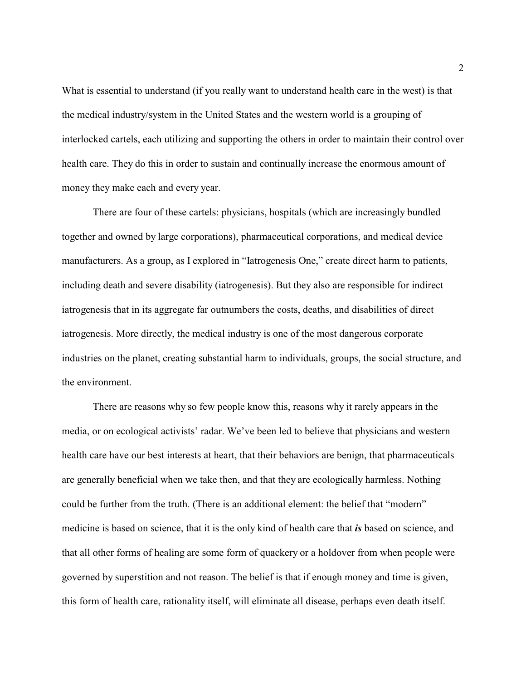What is essential to understand (if you really want to understand health care in the west) is that the medical industry/system in the United States and the western world is a grouping of interlocked cartels, each utilizing and supporting the others in order to maintain their control over health care. They do this in order to sustain and continually increase the enormous amount of money they make each and every year.

There are four of these cartels: physicians, hospitals (which are increasingly bundled together and owned by large corporations), pharmaceutical corporations, and medical device manufacturers. As a group, as I explored in "Iatrogenesis One," create direct harm to patients, including death and severe disability (iatrogenesis). But they also are responsible for indirect iatrogenesis that in its aggregate far outnumbers the costs, deaths, and disabilities of direct iatrogenesis. More directly, the medical industry is one of the most dangerous corporate industries on the planet, creating substantial harm to individuals, groups, the social structure, and the environment.

There are reasons why so few people know this, reasons why it rarely appears in the media, or on ecological activists' radar. We've been led to believe that physicians and western health care have our best interests at heart, that their behaviors are benign, that pharmaceuticals are generally beneficial when we take then, and that they are ecologically harmless. Nothing could be further from the truth. (There is an additional element: the belief that "modern" medicine is based on science, that it is the only kind of health care that *is* based on science, and that all other forms of healing are some form of quackery or a holdover from when people were governed by superstition and not reason. The belief is that if enough money and time is given, this form of health care, rationality itself, will eliminate all disease, perhaps even death itself.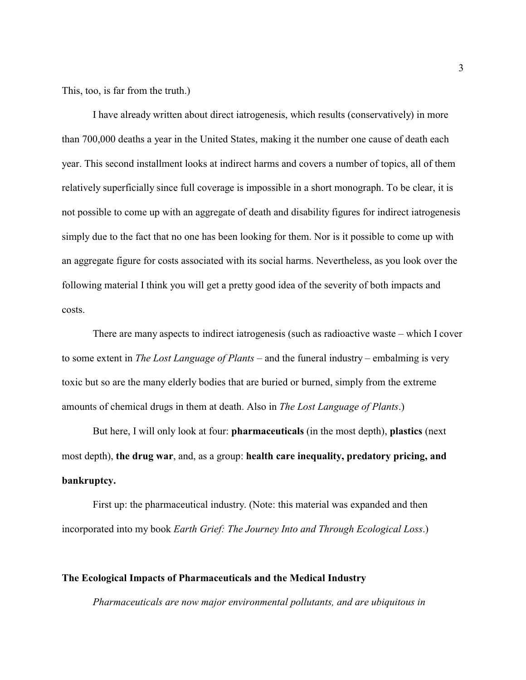This, too, is far from the truth.)

I have already written about direct iatrogenesis, which results (conservatively) in more than 700,000 deaths a year in the United States, making it the number one cause of death each year. This second installment looks at indirect harms and covers a number of topics, all of them relatively superficially since full coverage is impossible in a short monograph. To be clear, it is not possible to come up with an aggregate of death and disability figures for indirect iatrogenesis simply due to the fact that no one has been looking for them. Nor is it possible to come up with an aggregate figure for costs associated with its social harms. Nevertheless, as you look over the following material I think you will get a pretty good idea of the severity of both impacts and costs.

There are many aspects to indirect iatrogenesis (such as radioactive waste – which I cover to some extent in *The Lost Language of Plants* – and the funeral industry – embalming is very toxic but so are the many elderly bodies that are buried or burned, simply from the extreme amounts of chemical drugs in them at death. Also in *The Lost Language of Plants*.)

But here, I will only look at four: **pharmaceuticals** (in the most depth), **plastics** (next most depth), **the drug war**, and, as a group: **health care inequality, predatory pricing, and bankruptcy.** 

First up: the pharmaceutical industry. (Note: this material was expanded and then incorporated into my book *Earth Grief: The Journey Into and Through Ecological Loss*.)

## **The Ecological Impacts of Pharmaceuticals and the Medical Industry**

*Pharmaceuticals are now major environmental pollutants, and are ubiquitous in*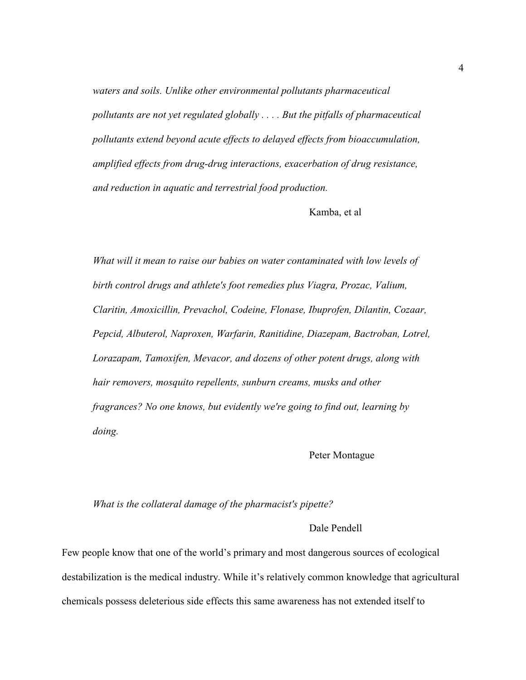*waters and soils. Unlike other environmental pollutants pharmaceutical pollutants are not yet regulated globally . . . . But the pitfalls of pharmaceutical pollutants extend beyond acute effects to delayed effects from bioaccumulation, amplified effects from drug-drug interactions, exacerbation of drug resistance, and reduction in aquatic and terrestrial food production.* 

Kamba, et al

*What will it mean to raise our babies on water contaminated with low levels of birth control drugs and athlete's foot remedies plus Viagra, Prozac, Valium, Claritin, Amoxicillin, Prevachol, Codeine, Flonase, Ibuprofen, Dilantin, Cozaar, Pepcid, Albuterol, Naproxen, Warfarin, Ranitidine, Diazepam, Bactroban, Lotrel, Lorazapam, Tamoxifen, Mevacor, and dozens of other potent drugs, along with hair removers, mosquito repellents, sunburn creams, musks and other fragrances? No one knows, but evidently we're going to find out, learning by doing.* 

### Peter Montague

#### *What is the collateral damage of the pharmacist's pipette?*

#### Dale Pendell

Few people know that one of the world's primary and most dangerous sources of ecological destabilization is the medical industry. While it's relatively common knowledge that agricultural chemicals possess deleterious side effects this same awareness has not extended itself to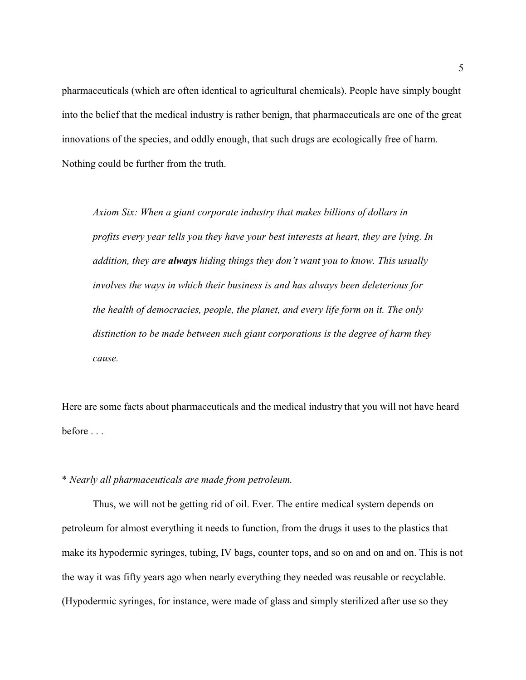pharmaceuticals (which are often identical to agricultural chemicals). People have simply bought into the belief that the medical industry is rather benign, that pharmaceuticals are one of the great innovations of the species, and oddly enough, that such drugs are ecologically free of harm. Nothing could be further from the truth.

*Axiom Six: When a giant corporate industry that makes billions of dollars in profits every year tells you they have your best interests at heart, they are lying. In addition, they are always hiding things they don't want you to know. This usually involves the ways in which their business is and has always been deleterious for the health of democracies, people, the planet, and every life form on it. The only distinction to be made between such giant corporations is the degree of harm they cause.*

Here are some facts about pharmaceuticals and the medical industry that you will not have heard before . . .

#### \* *Nearly all pharmaceuticals are made from petroleum.*

Thus, we will not be getting rid of oil. Ever. The entire medical system depends on petroleum for almost everything it needs to function, from the drugs it uses to the plastics that make its hypodermic syringes, tubing, IV bags, counter tops, and so on and on and on. This is not the way it was fifty years ago when nearly everything they needed was reusable or recyclable. (Hypodermic syringes, for instance, were made of glass and simply sterilized after use so they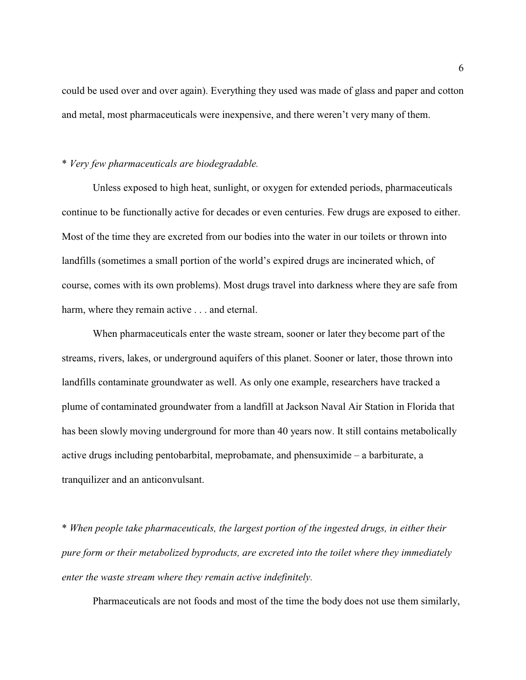could be used over and over again). Everything they used was made of glass and paper and cotton and metal, most pharmaceuticals were inexpensive, and there weren't very many of them.

## \* *Very few pharmaceuticals are biodegradable.*

Unless exposed to high heat, sunlight, or oxygen for extended periods, pharmaceuticals continue to be functionally active for decades or even centuries. Few drugs are exposed to either. Most of the time they are excreted from our bodies into the water in our toilets or thrown into landfills (sometimes a small portion of the world's expired drugs are incinerated which, of course, comes with its own problems). Most drugs travel into darkness where they are safe from harm, where they remain active . . . and eternal.

When pharmaceuticals enter the waste stream, sooner or later they become part of the streams, rivers, lakes, or underground aquifers of this planet. Sooner or later, those thrown into landfills contaminate groundwater as well. As only one example, researchers have tracked a plume of contaminated groundwater from a landfill at Jackson Naval Air Station in Florida that has been slowly moving underground for more than 40 years now. It still contains metabolically active drugs including pentobarbital, meprobamate, and phensuximide – a barbiturate, a tranquilizer and an anticonvulsant.

\* *When people take pharmaceuticals, the largest portion of the ingested drugs, in either their pure form or their metabolized byproducts, are excreted into the toilet where they immediately enter the waste stream where they remain active indefinitely.* 

Pharmaceuticals are not foods and most of the time the body does not use them similarly,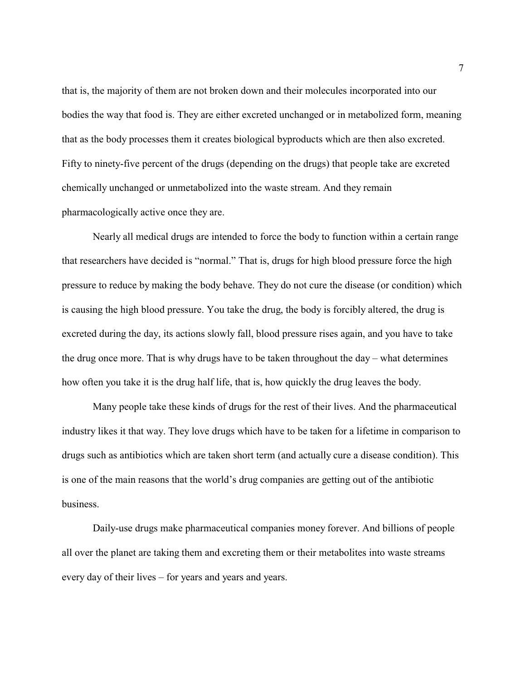that is, the majority of them are not broken down and their molecules incorporated into our bodies the way that food is. They are either excreted unchanged or in metabolized form, meaning that as the body processes them it creates biological byproducts which are then also excreted. Fifty to ninety-five percent of the drugs (depending on the drugs) that people take are excreted chemically unchanged or unmetabolized into the waste stream. And they remain pharmacologically active once they are.

Nearly all medical drugs are intended to force the body to function within a certain range that researchers have decided is "normal." That is, drugs for high blood pressure force the high pressure to reduce by making the body behave. They do not cure the disease (or condition) which is causing the high blood pressure. You take the drug, the body is forcibly altered, the drug is excreted during the day, its actions slowly fall, blood pressure rises again, and you have to take the drug once more. That is why drugs have to be taken throughout the day – what determines how often you take it is the drug half life, that is, how quickly the drug leaves the body.

Many people take these kinds of drugs for the rest of their lives. And the pharmaceutical industry likes it that way. They love drugs which have to be taken for a lifetime in comparison to drugs such as antibiotics which are taken short term (and actually cure a disease condition). This is one of the main reasons that the world's drug companies are getting out of the antibiotic business.

Daily-use drugs make pharmaceutical companies money forever. And billions of people all over the planet are taking them and excreting them or their metabolites into waste streams every day of their lives – for years and years and years.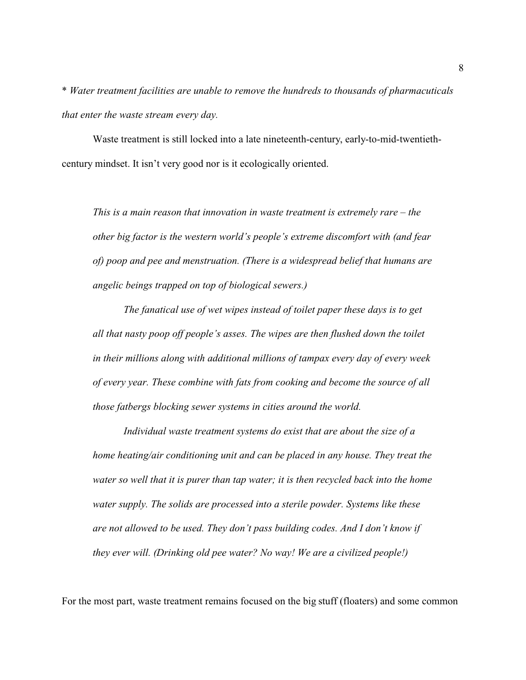\* *Water treatment facilities are unable to remove the hundreds to thousands of pharmacuticals that enter the waste stream every day.* 

Waste treatment is still locked into a late nineteenth-century, early-to-mid-twentiethcentury mindset. It isn't very good nor is it ecologically oriented.

*This is a main reason that innovation in waste treatment is extremely rare – the other big factor is the western world's people's extreme discomfort with (and fear of) poop and pee and menstruation. (There is a widespread belief that humans are angelic beings trapped on top of biological sewers.)*

*The fanatical use of wet wipes instead of toilet paper these days is to get all that nasty poop off people's asses. The wipes are then flushed down the toilet in their millions along with additional millions of tampax every day of every week of every year. These combine with fats from cooking and become the source of all those fatbergs blocking sewer systems in cities around the world.* 

*Individual waste treatment systems do exist that are about the size of a home heating/air conditioning unit and can be placed in any house. They treat the water so well that it is purer than tap water; it is then recycled back into the home water supply. The solids are processed into a sterile powder. Systems like these are not allowed to be used. They don't pass building codes. And I don't know if they ever will. (Drinking old pee water? No way! We are a civilized people!)*

For the most part, waste treatment remains focused on the big stuff (floaters) and some common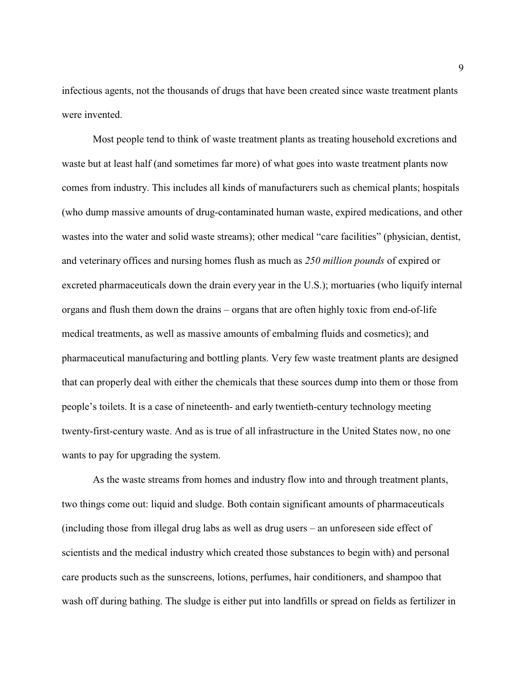infectious agents, not the thousands of drugs that have been created since waste treatment plants were invented.

Most people tend to think of waste treatment plants as treating household excretions and waste but at least half (and sometimes far more) of what goes into waste treatment plants now comes from industry. This includes all kinds of manufacturers such as chemical plants; hospitals (who dump massive amounts of drug-contaminated human waste, expired medications, and other wastes into the water and solid waste streams); other medical "care facilities" (physician, dentist, and veterinary offices and nursing homes flush as much as *250 million pounds* of expired or excreted pharmaceuticals down the drain every year in the U.S.); mortuaries (who liquify internal organs and flush them down the drains – organs that are often highly toxic from end-of-life medical treatments, as well as massive amounts of embalming fluids and cosmetics); and pharmaceutical manufacturing and bottling plants. Very few waste treatment plants are designed that can properly deal with either the chemicals that these sources dump into them or those from people's toilets. It is a case of nineteenth- and early twentieth-century technology meeting twenty-first-century waste. And as is true of all infrastructure in the United States now, no one wants to pay for upgrading the system.

As the waste streams from homes and industry flow into and through treatment plants, two things come out: liquid and sludge. Both contain significant amounts of pharmaceuticals (including those from illegal drug labs as well as drug users – an unforeseen side effect of scientists and the medical industry which created those substances to begin with) and personal care products such as the sunscreens, lotions, perfumes, hair conditioners, and shampoo that wash off during bathing. The sludge is either put into landfills or spread on fields as fertilizer in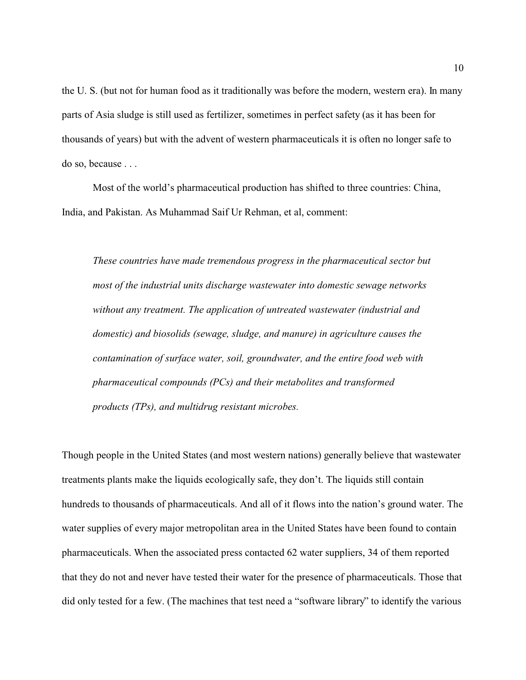the U. S. (but not for human food as it traditionally was before the modern, western era). In many parts of Asia sludge is still used as fertilizer, sometimes in perfect safety (as it has been for thousands of years) but with the advent of western pharmaceuticals it is often no longer safe to do so, because . . .

Most of the world's pharmaceutical production has shifted to three countries: China, India, and Pakistan. As Muhammad Saif Ur Rehman, et al, comment:

*These countries have made tremendous progress in the pharmaceutical sector but most of the industrial units discharge wastewater into domestic sewage networks without any treatment. The application of untreated wastewater (industrial and domestic) and biosolids (sewage, sludge, and manure) in agriculture causes the contamination of surface water, soil, groundwater, and the entire food web with pharmaceutical compounds (PCs) and their metabolites and transformed products (TPs), and multidrug resistant microbes.*

Though people in the United States (and most western nations) generally believe that wastewater treatments plants make the liquids ecologically safe, they don't. The liquids still contain hundreds to thousands of pharmaceuticals. And all of it flows into the nation's ground water. The water supplies of every major metropolitan area in the United States have been found to contain pharmaceuticals. When the associated press contacted 62 water suppliers, 34 of them reported that they do not and never have tested their water for the presence of pharmaceuticals. Those that did only tested for a few. (The machines that test need a "software library" to identify the various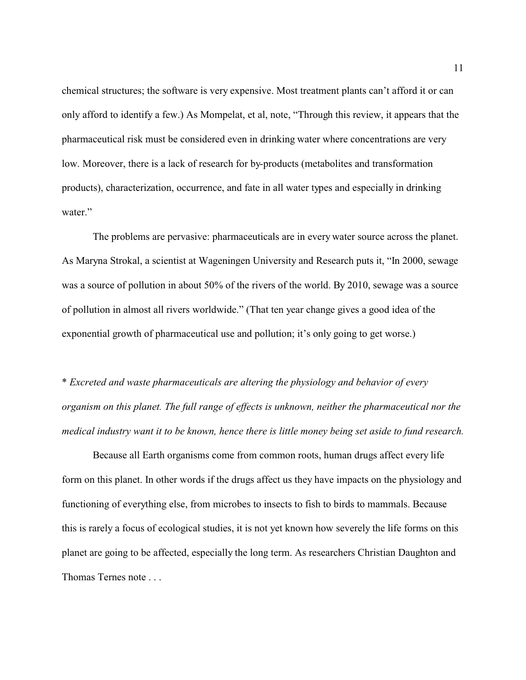chemical structures; the software is very expensive. Most treatment plants can't afford it or can only afford to identify a few.) As Mompelat, et al, note, "Through this review, it appears that the pharmaceutical risk must be considered even in drinking water where concentrations are very low. Moreover, there is a lack of research for by-products (metabolites and transformation products), characterization, occurrence, and fate in all water types and especially in drinking water."

The problems are pervasive: pharmaceuticals are in every water source across the planet. As Maryna Strokal, a scientist at Wageningen University and Research puts it, "In 2000, sewage was a source of pollution in about 50% of the rivers of the world. By 2010, sewage was a source of pollution in almost all rivers worldwide." (That ten year change gives a good idea of the exponential growth of pharmaceutical use and pollution; it's only going to get worse.)

\* *Excreted and waste pharmaceuticals are altering the physiology and behavior of every organism on this planet. The full range of effects is unknown, neither the pharmaceutical nor the medical industry want it to be known, hence there is little money being set aside to fund research.*

Because all Earth organisms come from common roots, human drugs affect every life form on this planet. In other words if the drugs affect us they have impacts on the physiology and functioning of everything else, from microbes to insects to fish to birds to mammals. Because this is rarely a focus of ecological studies, it is not yet known how severely the life forms on this planet are going to be affected, especially the long term. As researchers Christian Daughton and Thomas Ternes note . . .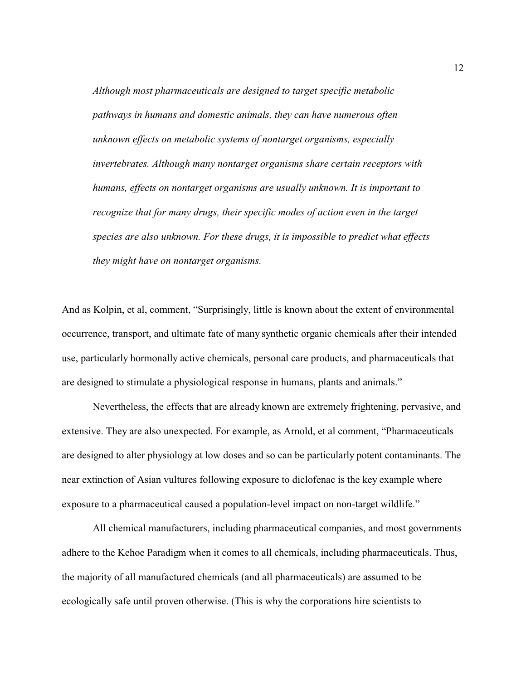*Although most pharmaceuticals are designed to target specific metabolic pathways in humans and domestic animals, they can have numerous often unknown effects on metabolic systems of nontarget organisms, especially invertebrates. Although many nontarget organisms share certain receptors with humans, effects on nontarget organisms are usually unknown. It is important to recognize that for many drugs, their specific modes of action even in the target species are also unknown. For these drugs, it is impossible to predict what effects they might have on nontarget organisms.* 

And as Kolpin, et al, comment, "Surprisingly, little is known about the extent of environmental occurrence, transport, and ultimate fate of many synthetic organic chemicals after their intended use, particularly hormonally active chemicals, personal care products, and pharmaceuticals that are designed to stimulate a physiological response in humans, plants and animals."

Nevertheless, the effects that are already known are extremely frightening, pervasive, and extensive. They are also unexpected. For example, as Arnold, et al comment, "Pharmaceuticals are designed to alter physiology at low doses and so can be particularly potent contaminants. The near extinction of Asian vultures following exposure to diclofenac is the key example where exposure to a pharmaceutical caused a population-level impact on non-target wildlife."

All chemical manufacturers, including pharmaceutical companies, and most governments adhere to the Kehoe Paradigm when it comes to all chemicals, including pharmaceuticals. Thus, the majority of all manufactured chemicals (and all pharmaceuticals) are assumed to be ecologically safe until proven otherwise. (This is why the corporations hire scientists to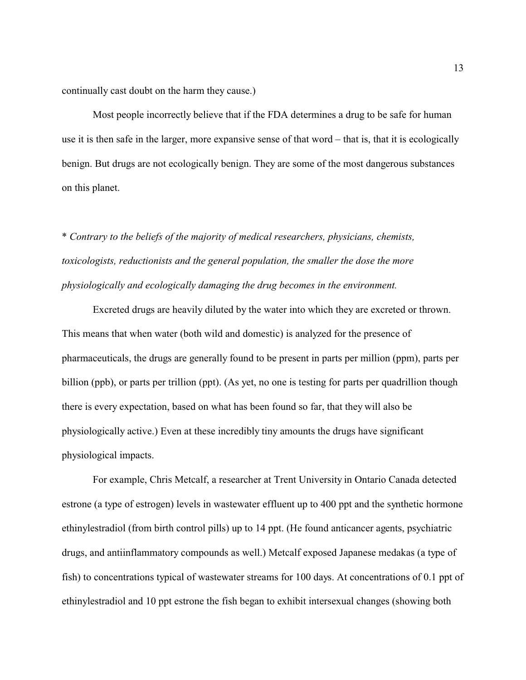continually cast doubt on the harm they cause.)

Most people incorrectly believe that if the FDA determines a drug to be safe for human use it is then safe in the larger, more expansive sense of that word – that is, that it is ecologically benign. But drugs are not ecologically benign. They are some of the most dangerous substances on this planet.

\* *Contrary to the beliefs of the majority of medical researchers, physicians, chemists, toxicologists, reductionists and the general population, the smaller the dose the more physiologically and ecologically damaging the drug becomes in the environment.* 

Excreted drugs are heavily diluted by the water into which they are excreted or thrown. This means that when water (both wild and domestic) is analyzed for the presence of pharmaceuticals, the drugs are generally found to be present in parts per million (ppm), parts per billion (ppb), or parts per trillion (ppt). (As yet, no one is testing for parts per quadrillion though there is every expectation, based on what has been found so far, that they will also be physiologically active.) Even at these incredibly tiny amounts the drugs have significant physiological impacts.

For example, Chris Metcalf, a researcher at Trent University in Ontario Canada detected estrone (a type of estrogen) levels in wastewater effluent up to 400 ppt and the synthetic hormone ethinylestradiol (from birth control pills) up to 14 ppt. (He found anticancer agents, psychiatric drugs, and antiinflammatory compounds as well.) Metcalf exposed Japanese medakas (a type of fish) to concentrations typical of wastewater streams for 100 days. At concentrations of 0.1 ppt of ethinylestradiol and 10 ppt estrone the fish began to exhibit intersexual changes (showing both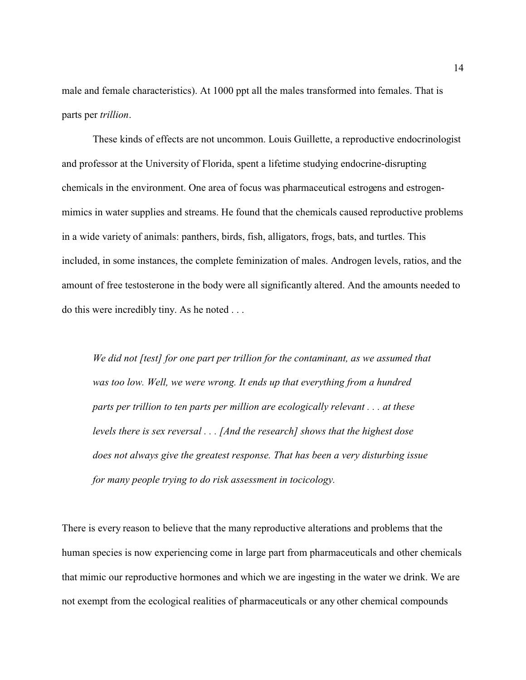male and female characteristics). At 1000 ppt all the males transformed into females. That is parts per *trillion*.

These kinds of effects are not uncommon. Louis Guillette, a reproductive endocrinologist and professor at the University of Florida, spent a lifetime studying endocrine-disrupting chemicals in the environment. One area of focus was pharmaceutical estrogens and estrogenmimics in water supplies and streams. He found that the chemicals caused reproductive problems in a wide variety of animals: panthers, birds, fish, alligators, frogs, bats, and turtles. This included, in some instances, the complete feminization of males. Androgen levels, ratios, and the amount of free testosterone in the body were all significantly altered. And the amounts needed to do this were incredibly tiny. As he noted . . .

*We did not [test] for one part per trillion for the contaminant, as we assumed that was too low. Well, we were wrong. It ends up that everything from a hundred parts per trillion to ten parts per million are ecologically relevant . . . at these levels there is sex reversal . . . [And the research] shows that the highest dose does not always give the greatest response. That has been a very disturbing issue for many people trying to do risk assessment in tocicology.*

There is every reason to believe that the many reproductive alterations and problems that the human species is now experiencing come in large part from pharmaceuticals and other chemicals that mimic our reproductive hormones and which we are ingesting in the water we drink. We are not exempt from the ecological realities of pharmaceuticals or any other chemical compounds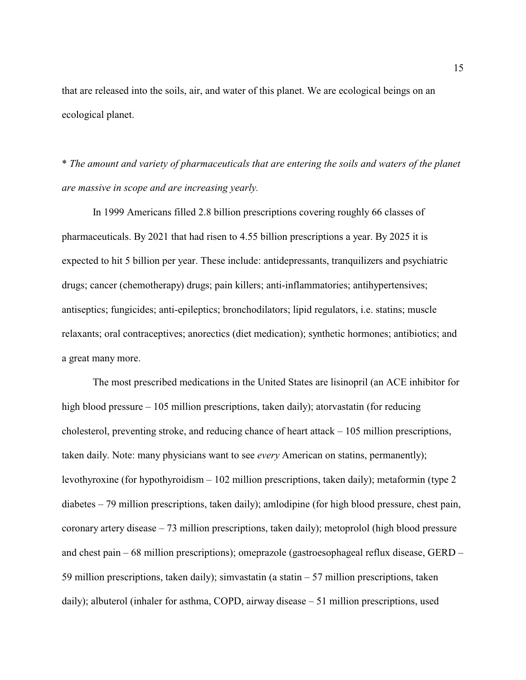that are released into the soils, air, and water of this planet. We are ecological beings on an ecological planet.

\* *The amount and variety of pharmaceuticals that are entering the soils and waters of the planet are massive in scope and are increasing yearly.* 

In 1999 Americans filled 2.8 billion prescriptions covering roughly 66 classes of pharmaceuticals. By 2021 that had risen to 4.55 billion prescriptions a year. By 2025 it is expected to hit 5 billion per year. These include: antidepressants, tranquilizers and psychiatric drugs; cancer (chemotherapy) drugs; pain killers; anti-inflammatories; antihypertensives; antiseptics; fungicides; anti-epileptics; bronchodilators; lipid regulators, i.e. statins; muscle relaxants; oral contraceptives; anorectics (diet medication); synthetic hormones; antibiotics; and a great many more.

The most prescribed medications in the United States are lisinopril (an ACE inhibitor for high blood pressure – 105 million prescriptions, taken daily); atorvastatin (for reducing cholesterol, preventing stroke, and reducing chance of heart attack – 105 million prescriptions, taken daily. Note: many physicians want to see *every* American on statins, permanently); levothyroxine (for hypothyroidism – 102 million prescriptions, taken daily); metaformin (type 2 diabetes – 79 million prescriptions, taken daily); amlodipine (for high blood pressure, chest pain, coronary artery disease – 73 million prescriptions, taken daily); metoprolol (high blood pressure and chest pain – 68 million prescriptions); omeprazole (gastroesophageal reflux disease, GERD – 59 million prescriptions, taken daily); simvastatin (a statin – 57 million prescriptions, taken daily); albuterol (inhaler for asthma, COPD, airway disease – 51 million prescriptions, used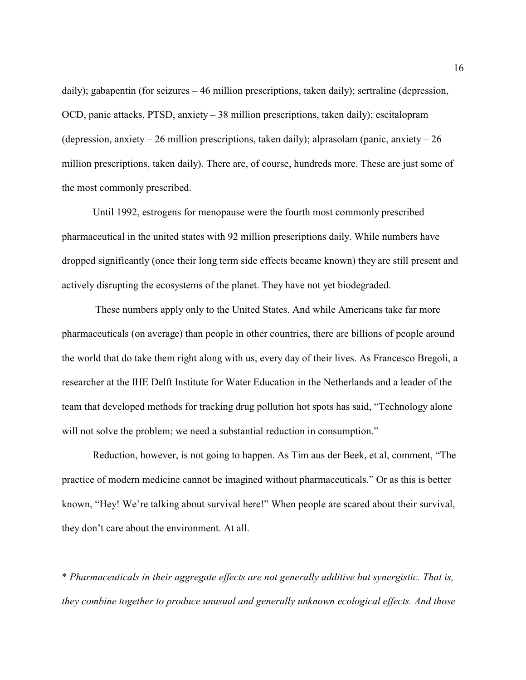daily); gabapentin (for seizures – 46 million prescriptions, taken daily); sertraline (depression, OCD, panic attacks, PTSD, anxiety – 38 million prescriptions, taken daily); escitalopram (depression, anxiety  $-26$  million prescriptions, taken daily); alprasolam (panic, anxiety  $-26$ million prescriptions, taken daily). There are, of course, hundreds more. These are just some of the most commonly prescribed.

Until 1992, estrogens for menopause were the fourth most commonly prescribed pharmaceutical in the united states with 92 million prescriptions daily. While numbers have dropped significantly (once their long term side effects became known) they are still present and actively disrupting the ecosystems of the planet. They have not yet biodegraded.

 These numbers apply only to the United States. And while Americans take far more pharmaceuticals (on average) than people in other countries, there are billions of people around the world that do take them right along with us, every day of their lives. As Francesco Bregoli, a researcher at the IHE Delft Institute for Water Education in the Netherlands and a leader of the team that developed methods for tracking drug pollution hot spots has said, "Technology alone will not solve the problem; we need a substantial reduction in consumption."

Reduction, however, is not going to happen. As Tim aus der Beek, et al, comment, "The practice of modern medicine cannot be imagined without pharmaceuticals." Or as this is better known, "Hey! We're talking about survival here!" When people are scared about their survival, they don't care about the environment. At all.

\* *Pharmaceuticals in their aggregate effects are not generally additive but synergistic. That is, they combine together to produce unusual and generally unknown ecological effects. And those*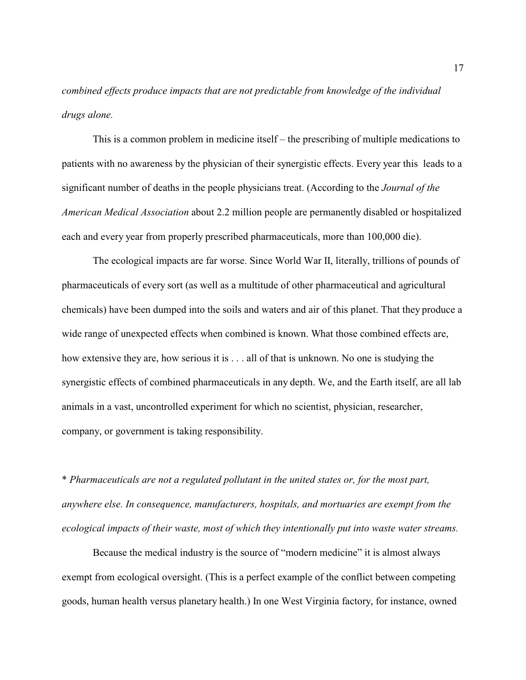*combined effects produce impacts that are not predictable from knowledge of the individual drugs alone.* 

This is a common problem in medicine itself – the prescribing of multiple medications to patients with no awareness by the physician of their synergistic effects. Every year this leads to a significant number of deaths in the people physicians treat. (According to the *Journal of the American Medical Association* about 2.2 million people are permanently disabled or hospitalized each and every year from properly prescribed pharmaceuticals, more than 100,000 die).

The ecological impacts are far worse. Since World War II, literally, trillions of pounds of pharmaceuticals of every sort (as well as a multitude of other pharmaceutical and agricultural chemicals) have been dumped into the soils and waters and air of this planet. That they produce a wide range of unexpected effects when combined is known. What those combined effects are, how extensive they are, how serious it is . . . all of that is unknown. No one is studying the synergistic effects of combined pharmaceuticals in any depth. We, and the Earth itself, are all lab animals in a vast, uncontrolled experiment for which no scientist, physician, researcher, company, or government is taking responsibility.

\* *Pharmaceuticals are not a regulated pollutant in the united states or, for the most part, anywhere else. In consequence, manufacturers, hospitals, and mortuaries are exempt from the ecological impacts of their waste, most of which they intentionally put into waste water streams.* 

Because the medical industry is the source of "modern medicine" it is almost always exempt from ecological oversight. (This is a perfect example of the conflict between competing goods, human health versus planetary health.) In one West Virginia factory, for instance, owned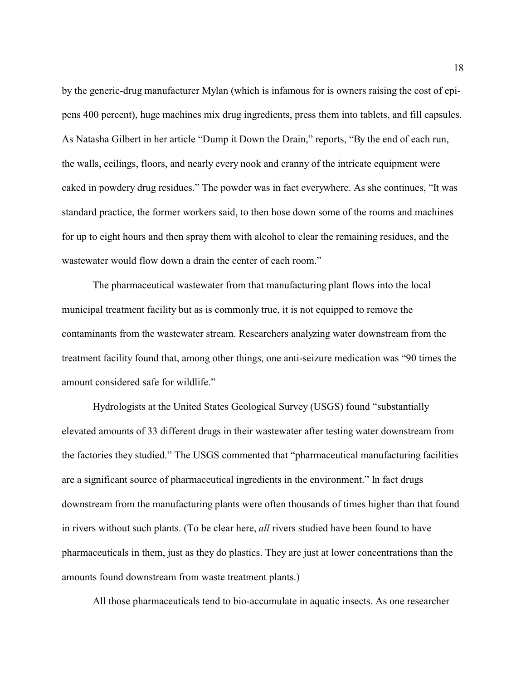by the generic-drug manufacturer Mylan (which is infamous for is owners raising the cost of epipens 400 percent), huge machines mix drug ingredients, press them into tablets, and fill capsules. As Natasha Gilbert in her article "Dump it Down the Drain," reports, "By the end of each run, the walls, ceilings, floors, and nearly every nook and cranny of the intricate equipment were caked in powdery drug residues." The powder was in fact everywhere. As she continues, "It was standard practice, the former workers said, to then hose down some of the rooms and machines for up to eight hours and then spray them with alcohol to clear the remaining residues, and the wastewater would flow down a drain the center of each room."

The pharmaceutical wastewater from that manufacturing plant flows into the local municipal treatment facility but as is commonly true, it is not equipped to remove the contaminants from the wastewater stream. Researchers analyzing water downstream from the treatment facility found that, among other things, one anti-seizure medication was "90 times the amount considered safe for wildlife."

Hydrologists at the United States Geological Survey (USGS) found "substantially elevated amounts of 33 different drugs in their wastewater after testing water downstream from the factories they studied." The USGS commented that "pharmaceutical manufacturing facilities are a significant source of pharmaceutical ingredients in the environment." In fact drugs downstream from the manufacturing plants were often thousands of times higher than that found in rivers without such plants. (To be clear here, *all* rivers studied have been found to have pharmaceuticals in them, just as they do plastics. They are just at lower concentrations than the amounts found downstream from waste treatment plants.)

All those pharmaceuticals tend to bio-accumulate in aquatic insects. As one researcher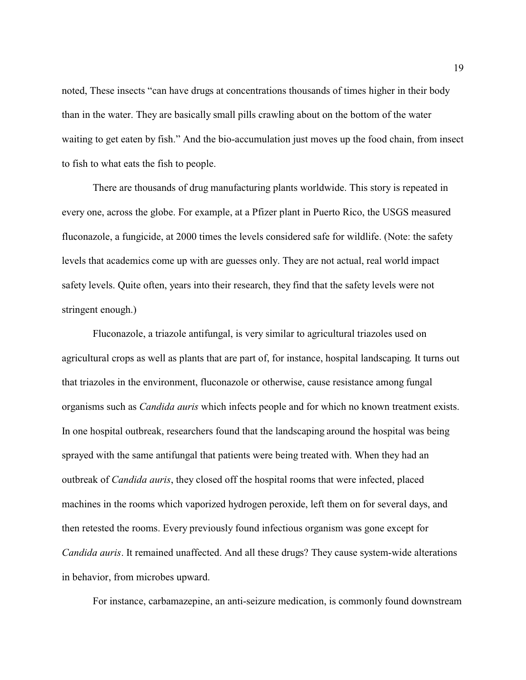noted, These insects "can have drugs at concentrations thousands of times higher in their body than in the water. They are basically small pills crawling about on the bottom of the water waiting to get eaten by fish." And the bio-accumulation just moves up the food chain, from insect to fish to what eats the fish to people.

There are thousands of drug manufacturing plants worldwide. This story is repeated in every one, across the globe. For example, at a Pfizer plant in Puerto Rico, the USGS measured fluconazole, a fungicide, at 2000 times the levels considered safe for wildlife. (Note: the safety levels that academics come up with are guesses only. They are not actual, real world impact safety levels. Quite often, years into their research, they find that the safety levels were not stringent enough.)

Fluconazole, a triazole antifungal, is very similar to agricultural triazoles used on agricultural crops as well as plants that are part of, for instance, hospital landscaping. It turns out that triazoles in the environment, fluconazole or otherwise, cause resistance among fungal organisms such as *Candida auris* which infects people and for which no known treatment exists. In one hospital outbreak, researchers found that the landscaping around the hospital was being sprayed with the same antifungal that patients were being treated with. When they had an outbreak of *Candida auris*, they closed off the hospital rooms that were infected, placed machines in the rooms which vaporized hydrogen peroxide, left them on for several days, and then retested the rooms. Every previously found infectious organism was gone except for *Candida auris*. It remained unaffected. And all these drugs? They cause system-wide alterations in behavior, from microbes upward.

For instance, carbamazepine, an anti-seizure medication, is commonly found downstream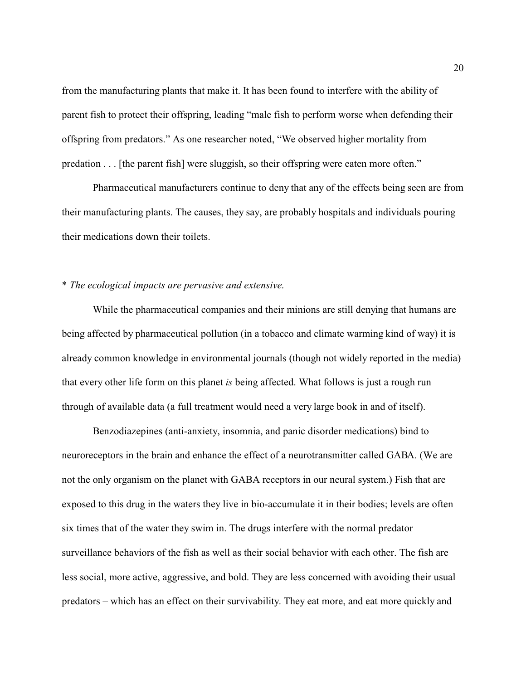from the manufacturing plants that make it. It has been found to interfere with the ability of parent fish to protect their offspring, leading "male fish to perform worse when defending their offspring from predators." As one researcher noted, "We observed higher mortality from predation . . . [the parent fish] were sluggish, so their offspring were eaten more often."

Pharmaceutical manufacturers continue to deny that any of the effects being seen are from their manufacturing plants. The causes, they say, are probably hospitals and individuals pouring their medications down their toilets.

# \* *The ecological impacts are pervasive and extensive*.

While the pharmaceutical companies and their minions are still denying that humans are being affected by pharmaceutical pollution (in a tobacco and climate warming kind of way) it is already common knowledge in environmental journals (though not widely reported in the media) that every other life form on this planet *is* being affected. What follows is just a rough run through of available data (a full treatment would need a very large book in and of itself).

Benzodiazepines (anti-anxiety, insomnia, and panic disorder medications) bind to neuroreceptors in the brain and enhance the effect of a neurotransmitter called GABA. (We are not the only organism on the planet with GABA receptors in our neural system.) Fish that are exposed to this drug in the waters they live in bio-accumulate it in their bodies; levels are often six times that of the water they swim in. The drugs interfere with the normal predator surveillance behaviors of the fish as well as their social behavior with each other. The fish are less social, more active, aggressive, and bold. They are less concerned with avoiding their usual predators – which has an effect on their survivability. They eat more, and eat more quickly and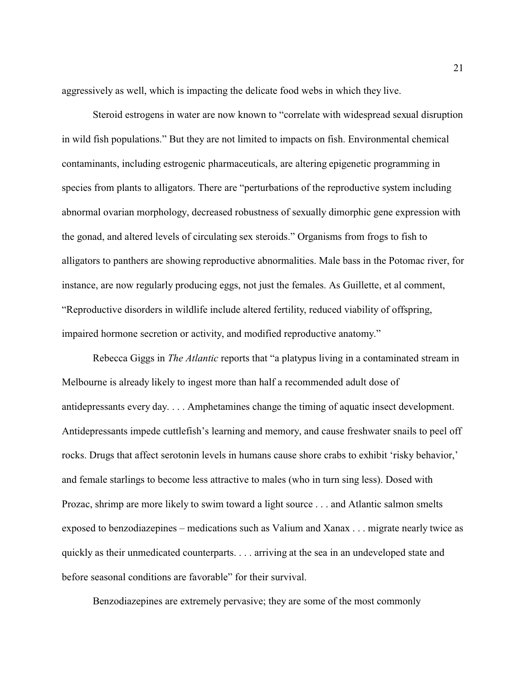aggressively as well, which is impacting the delicate food webs in which they live.

Steroid estrogens in water are now known to "correlate with widespread sexual disruption in wild fish populations." But they are not limited to impacts on fish. Environmental chemical contaminants, including estrogenic pharmaceuticals, are altering epigenetic programming in species from plants to alligators. There are "perturbations of the reproductive system including abnormal ovarian morphology, decreased robustness of sexually dimorphic gene expression with the gonad, and altered levels of circulating sex steroids." Organisms from frogs to fish to alligators to panthers are showing reproductive abnormalities. Male bass in the Potomac river, for instance, are now regularly producing eggs, not just the females. As Guillette, et al comment, "Reproductive disorders in wildlife include altered fertility, reduced viability of offspring, impaired hormone secretion or activity, and modified reproductive anatomy."

Rebecca Giggs in *The Atlantic* reports that "a platypus living in a contaminated stream in Melbourne is already likely to ingest more than half a recommended adult dose of antidepressants every day. . . . Amphetamines change the timing of aquatic insect development. Antidepressants impede cuttlefish's learning and memory, and cause freshwater snails to peel off rocks. Drugs that affect serotonin levels in humans cause shore crabs to exhibit 'risky behavior,' and female starlings to become less attractive to males (who in turn sing less). Dosed with Prozac, shrimp are more likely to swim toward a light source . . . and Atlantic salmon smelts exposed to benzodiazepines – medications such as Valium and Xanax . . . migrate nearly twice as quickly as their unmedicated counterparts. . . . arriving at the sea in an undeveloped state and before seasonal conditions are favorable" for their survival.

Benzodiazepines are extremely pervasive; they are some of the most commonly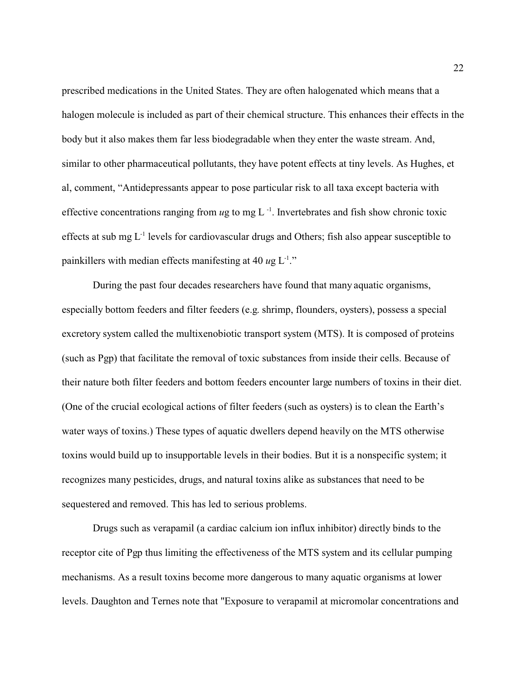prescribed medications in the United States. They are often halogenated which means that a halogen molecule is included as part of their chemical structure. This enhances their effects in the body but it also makes them far less biodegradable when they enter the waste stream. And, similar to other pharmaceutical pollutants, they have potent effects at tiny levels. As Hughes, et al, comment, "Antidepressants appear to pose particular risk to all taxa except bacteria with effective concentrations ranging from ug to mg L<sup>-1</sup>. Invertebrates and fish show chronic toxic effects at sub mg  $L^{-1}$  levels for cardiovascular drugs and Others; fish also appear susceptible to painkillers with median effects manifesting at  $40 \text{ u}g L^{1}$ ."

During the past four decades researchers have found that many aquatic organisms, especially bottom feeders and filter feeders (e.g. shrimp, flounders, oysters), possess a special excretory system called the multixenobiotic transport system (MTS). It is composed of proteins (such as Pgp) that facilitate the removal of toxic substances from inside their cells. Because of their nature both filter feeders and bottom feeders encounter large numbers of toxins in their diet. (One of the crucial ecological actions of filter feeders (such as oysters) is to clean the Earth's water ways of toxins.) These types of aquatic dwellers depend heavily on the MTS otherwise toxins would build up to insupportable levels in their bodies. But it is a nonspecific system; it recognizes many pesticides, drugs, and natural toxins alike as substances that need to be sequestered and removed. This has led to serious problems.

Drugs such as verapamil (a cardiac calcium ion influx inhibitor) directly binds to the receptor cite of Pgp thus limiting the effectiveness of the MTS system and its cellular pumping mechanisms. As a result toxins become more dangerous to many aquatic organisms at lower levels. Daughton and Ternes note that "Exposure to verapamil at micromolar concentrations and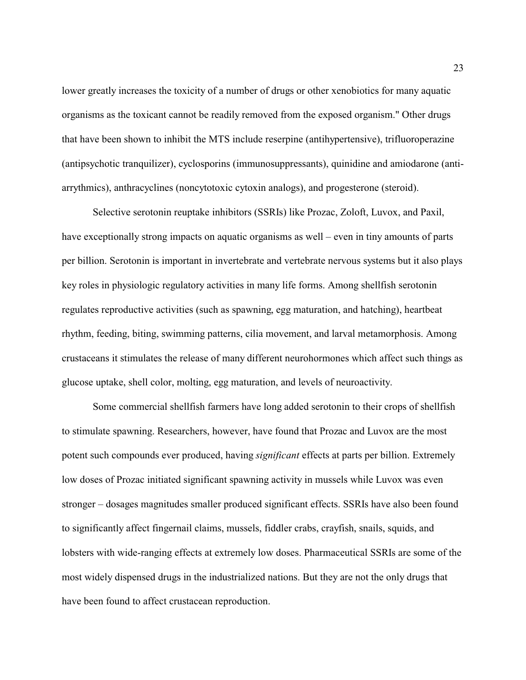lower greatly increases the toxicity of a number of drugs or other xenobiotics for many aquatic organisms as the toxicant cannot be readily removed from the exposed organism." Other drugs that have been shown to inhibit the MTS include reserpine (antihypertensive), trifluoroperazine (antipsychotic tranquilizer), cyclosporins (immunosuppressants), quinidine and amiodarone (antiarrythmics), anthracyclines (noncytotoxic cytoxin analogs), and progesterone (steroid).

Selective serotonin reuptake inhibitors (SSRIs) like Prozac, Zoloft, Luvox, and Paxil, have exceptionally strong impacts on aquatic organisms as well – even in tiny amounts of parts per billion. Serotonin is important in invertebrate and vertebrate nervous systems but it also plays key roles in physiologic regulatory activities in many life forms. Among shellfish serotonin regulates reproductive activities (such as spawning, egg maturation, and hatching), heartbeat rhythm, feeding, biting, swimming patterns, cilia movement, and larval metamorphosis. Among crustaceans it stimulates the release of many different neurohormones which affect such things as glucose uptake, shell color, molting, egg maturation, and levels of neuroactivity.

Some commercial shellfish farmers have long added serotonin to their crops of shellfish to stimulate spawning. Researchers, however, have found that Prozac and Luvox are the most potent such compounds ever produced, having *significant* effects at parts per billion. Extremely low doses of Prozac initiated significant spawning activity in mussels while Luvox was even stronger – dosages magnitudes smaller produced significant effects. SSRIs have also been found to significantly affect fingernail claims, mussels, fiddler crabs, crayfish, snails, squids, and lobsters with wide-ranging effects at extremely low doses. Pharmaceutical SSRIs are some of the most widely dispensed drugs in the industrialized nations. But they are not the only drugs that have been found to affect crustacean reproduction.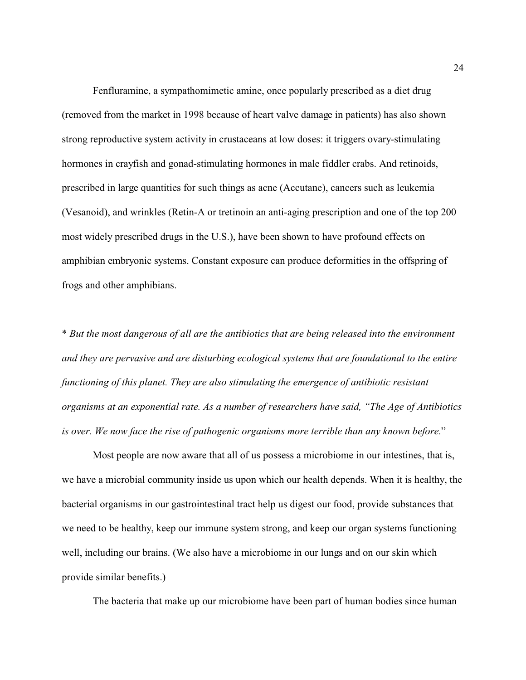Fenfluramine, a sympathomimetic amine, once popularly prescribed as a diet drug (removed from the market in 1998 because of heart valve damage in patients) has also shown strong reproductive system activity in crustaceans at low doses: it triggers ovary-stimulating hormones in crayfish and gonad-stimulating hormones in male fiddler crabs. And retinoids, prescribed in large quantities for such things as acne (Accutane), cancers such as leukemia (Vesanoid), and wrinkles (Retin-A or tretinoin an anti-aging prescription and one of the top 200 most widely prescribed drugs in the U.S.), have been shown to have profound effects on amphibian embryonic systems. Constant exposure can produce deformities in the offspring of frogs and other amphibians.

\* *But the most dangerous of all are the antibiotics that are being released into the environment and they are pervasive and are disturbing ecological systems that are foundational to the entire functioning of this planet. They are also stimulating the emergence of antibiotic resistant organisms at an exponential rate. As a number of researchers have said, "The Age of Antibiotics is over. We now face the rise of pathogenic organisms more terrible than any known before.*"

Most people are now aware that all of us possess a microbiome in our intestines, that is, we have a microbial community inside us upon which our health depends. When it is healthy, the bacterial organisms in our gastrointestinal tract help us digest our food, provide substances that we need to be healthy, keep our immune system strong, and keep our organ systems functioning well, including our brains. (We also have a microbiome in our lungs and on our skin which provide similar benefits.)

The bacteria that make up our microbiome have been part of human bodies since human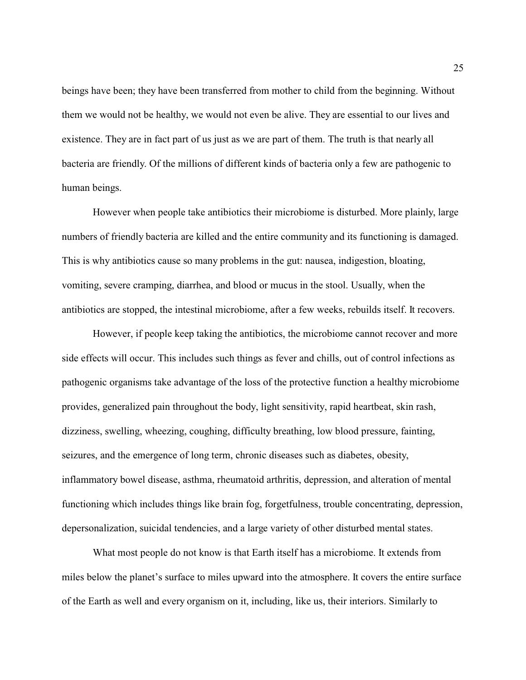beings have been; they have been transferred from mother to child from the beginning. Without them we would not be healthy, we would not even be alive. They are essential to our lives and existence. They are in fact part of us just as we are part of them. The truth is that nearly all bacteria are friendly. Of the millions of different kinds of bacteria only a few are pathogenic to human beings.

However when people take antibiotics their microbiome is disturbed. More plainly, large numbers of friendly bacteria are killed and the entire community and its functioning is damaged. This is why antibiotics cause so many problems in the gut: nausea, indigestion, bloating, vomiting, severe cramping, diarrhea, and blood or mucus in the stool. Usually, when the antibiotics are stopped, the intestinal microbiome, after a few weeks, rebuilds itself. It recovers.

However, if people keep taking the antibiotics, the microbiome cannot recover and more side effects will occur. This includes such things as fever and chills, out of control infections as pathogenic organisms take advantage of the loss of the protective function a healthy microbiome provides, generalized pain throughout the body, light sensitivity, rapid heartbeat, skin rash, dizziness, swelling, wheezing, coughing, difficulty breathing, low blood pressure, fainting, seizures, and the emergence of long term, chronic diseases such as diabetes, obesity, inflammatory bowel disease, asthma, rheumatoid arthritis, depression, and alteration of mental functioning which includes things like brain fog, forgetfulness, trouble concentrating, depression, depersonalization, suicidal tendencies, and a large variety of other disturbed mental states.

What most people do not know is that Earth itself has a microbiome. It extends from miles below the planet's surface to miles upward into the atmosphere. It covers the entire surface of the Earth as well and every organism on it, including, like us, their interiors. Similarly to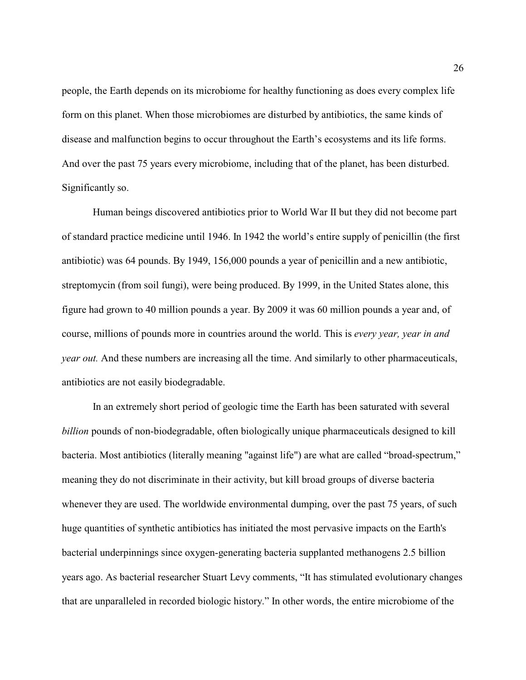people, the Earth depends on its microbiome for healthy functioning as does every complex life form on this planet. When those microbiomes are disturbed by antibiotics, the same kinds of disease and malfunction begins to occur throughout the Earth's ecosystems and its life forms. And over the past 75 years every microbiome, including that of the planet, has been disturbed. Significantly so.

Human beings discovered antibiotics prior to World War II but they did not become part of standard practice medicine until 1946. In 1942 the world's entire supply of penicillin (the first antibiotic) was 64 pounds. By 1949, 156,000 pounds a year of penicillin and a new antibiotic, streptomycin (from soil fungi), were being produced. By 1999, in the United States alone, this figure had grown to 40 million pounds a year. By 2009 it was 60 million pounds a year and, of course, millions of pounds more in countries around the world. This is *every year, year in and year out.* And these numbers are increasing all the time. And similarly to other pharmaceuticals, antibiotics are not easily biodegradable.

In an extremely short period of geologic time the Earth has been saturated with several *billion* pounds of non-biodegradable, often biologically unique pharmaceuticals designed to kill bacteria. Most antibiotics (literally meaning "against life") are what are called "broad-spectrum," meaning they do not discriminate in their activity, but kill broad groups of diverse bacteria whenever they are used. The worldwide environmental dumping, over the past 75 years, of such huge quantities of synthetic antibiotics has initiated the most pervasive impacts on the Earth's bacterial underpinnings since oxygen-generating bacteria supplanted methanogens 2.5 billion years ago. As bacterial researcher Stuart Levy comments, "It has stimulated evolutionary changes that are unparalleled in recorded biologic history." In other words, the entire microbiome of the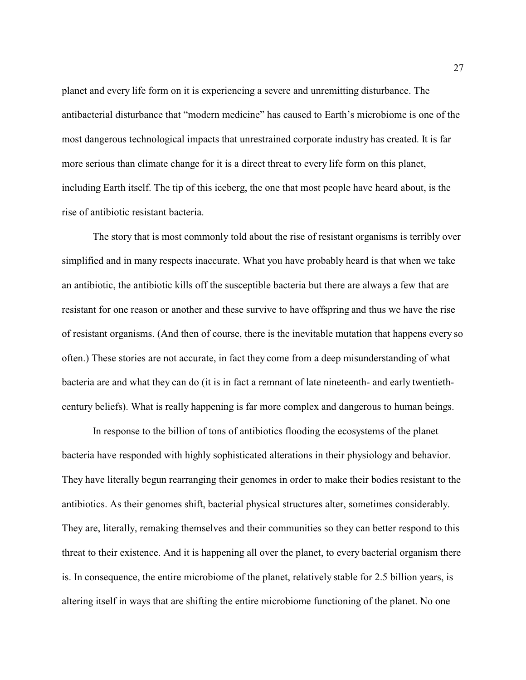planet and every life form on it is experiencing a severe and unremitting disturbance. The antibacterial disturbance that "modern medicine" has caused to Earth's microbiome is one of the most dangerous technological impacts that unrestrained corporate industry has created. It is far more serious than climate change for it is a direct threat to every life form on this planet, including Earth itself. The tip of this iceberg, the one that most people have heard about, is the rise of antibiotic resistant bacteria.

The story that is most commonly told about the rise of resistant organisms is terribly over simplified and in many respects inaccurate. What you have probably heard is that when we take an antibiotic, the antibiotic kills off the susceptible bacteria but there are always a few that are resistant for one reason or another and these survive to have offspring and thus we have the rise of resistant organisms. (And then of course, there is the inevitable mutation that happens every so often.) These stories are not accurate, in fact they come from a deep misunderstanding of what bacteria are and what they can do (it is in fact a remnant of late nineteenth- and early twentiethcentury beliefs). What is really happening is far more complex and dangerous to human beings.

In response to the billion of tons of antibiotics flooding the ecosystems of the planet bacteria have responded with highly sophisticated alterations in their physiology and behavior. They have literally begun rearranging their genomes in order to make their bodies resistant to the antibiotics. As their genomes shift, bacterial physical structures alter, sometimes considerably. They are, literally, remaking themselves and their communities so they can better respond to this threat to their existence. And it is happening all over the planet, to every bacterial organism there is. In consequence, the entire microbiome of the planet, relatively stable for 2.5 billion years, is altering itself in ways that are shifting the entire microbiome functioning of the planet. No one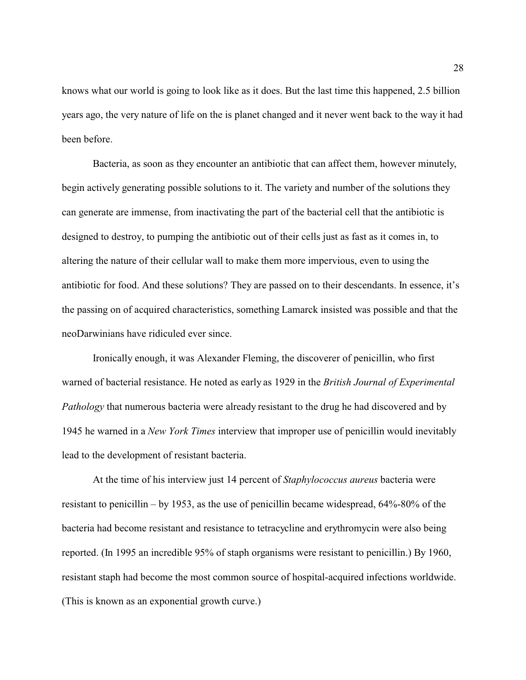knows what our world is going to look like as it does. But the last time this happened, 2.5 billion years ago, the very nature of life on the is planet changed and it never went back to the way it had been before.

Bacteria, as soon as they encounter an antibiotic that can affect them, however minutely, begin actively generating possible solutions to it. The variety and number of the solutions they can generate are immense, from inactivating the part of the bacterial cell that the antibiotic is designed to destroy, to pumping the antibiotic out of their cells just as fast as it comes in, to altering the nature of their cellular wall to make them more impervious, even to using the antibiotic for food. And these solutions? They are passed on to their descendants. In essence, it's the passing on of acquired characteristics, something Lamarck insisted was possible and that the neoDarwinians have ridiculed ever since.

Ironically enough, it was Alexander Fleming, the discoverer of penicillin, who first warned of bacterial resistance. He noted as early as 1929 in the *British Journal of Experimental Pathology* that numerous bacteria were already resistant to the drug he had discovered and by 1945 he warned in a *New York Times* interview that improper use of penicillin would inevitably lead to the development of resistant bacteria.

At the time of his interview just 14 percent of *Staphylococcus aureus* bacteria were resistant to penicillin – by 1953, as the use of penicillin became widespread, 64%-80% of the bacteria had become resistant and resistance to tetracycline and erythromycin were also being reported. (In 1995 an incredible 95% of staph organisms were resistant to penicillin.) By 1960, resistant staph had become the most common source of hospital-acquired infections worldwide. (This is known as an exponential growth curve.)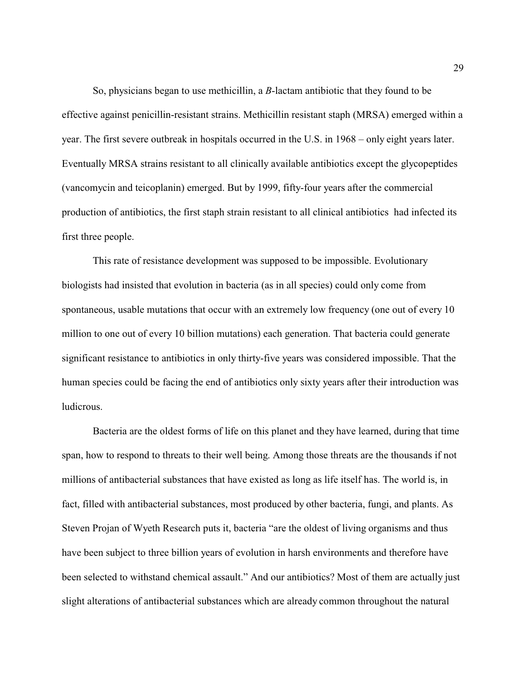So, physicians began to use methicillin, a *B*-lactam antibiotic that they found to be effective against penicillin-resistant strains. Methicillin resistant staph (MRSA) emerged within a year. The first severe outbreak in hospitals occurred in the U.S. in 1968 – only eight years later. Eventually MRSA strains resistant to all clinically available antibiotics except the glycopeptides (vancomycin and teicoplanin) emerged. But by 1999, fifty-four years after the commercial production of antibiotics, the first staph strain resistant to all clinical antibiotics had infected its first three people.

This rate of resistance development was supposed to be impossible. Evolutionary biologists had insisted that evolution in bacteria (as in all species) could only come from spontaneous, usable mutations that occur with an extremely low frequency (one out of every 10 million to one out of every 10 billion mutations) each generation. That bacteria could generate significant resistance to antibiotics in only thirty-five years was considered impossible. That the human species could be facing the end of antibiotics only sixty years after their introduction was ludicrous.

Bacteria are the oldest forms of life on this planet and they have learned, during that time span, how to respond to threats to their well being. Among those threats are the thousands if not millions of antibacterial substances that have existed as long as life itself has. The world is, in fact, filled with antibacterial substances, most produced by other bacteria, fungi, and plants. As Steven Projan of Wyeth Research puts it, bacteria "are the oldest of living organisms and thus have been subject to three billion years of evolution in harsh environments and therefore have been selected to withstand chemical assault." And our antibiotics? Most of them are actually just slight alterations of antibacterial substances which are already common throughout the natural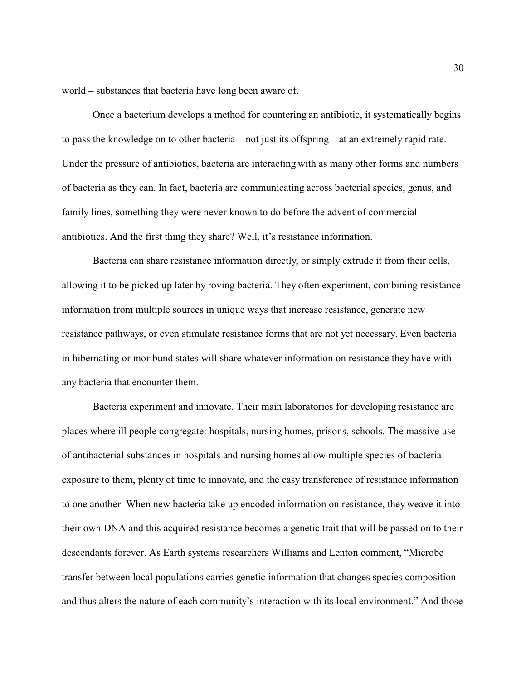world – substances that bacteria have long been aware of.

Once a bacterium develops a method for countering an antibiotic, it systematically begins to pass the knowledge on to other bacteria – not just its offspring – at an extremely rapid rate. Under the pressure of antibiotics, bacteria are interacting with as many other forms and numbers of bacteria as they can. In fact, bacteria are communicating across bacterial species, genus, and family lines, something they were never known to do before the advent of commercial antibiotics. And the first thing they share? Well, it's resistance information.

Bacteria can share resistance information directly, or simply extrude it from their cells, allowing it to be picked up later by roving bacteria. They often experiment, combining resistance information from multiple sources in unique ways that increase resistance, generate new resistance pathways, or even stimulate resistance forms that are not yet necessary. Even bacteria in hibernating or moribund states will share whatever information on resistance they have with any bacteria that encounter them.

Bacteria experiment and innovate. Their main laboratories for developing resistance are places where ill people congregate: hospitals, nursing homes, prisons, schools. The massive use of antibacterial substances in hospitals and nursing homes allow multiple species of bacteria exposure to them, plenty of time to innovate, and the easy transference of resistance information to one another. When new bacteria take up encoded information on resistance, they weave it into their own DNA and this acquired resistance becomes a genetic trait that will be passed on to their descendants forever. As Earth systems researchers Williams and Lenton comment, "Microbe transfer between local populations carries genetic information that changes species composition and thus alters the nature of each community's interaction with its local environment." And those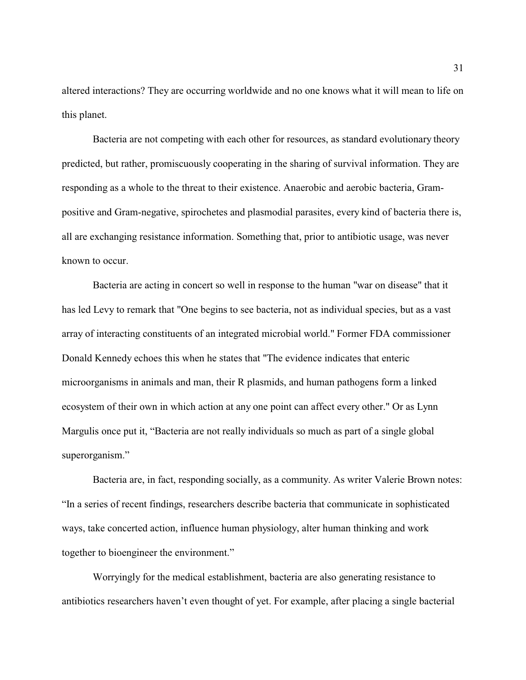altered interactions? They are occurring worldwide and no one knows what it will mean to life on this planet.

Bacteria are not competing with each other for resources, as standard evolutionary theory predicted, but rather, promiscuously cooperating in the sharing of survival information. They are responding as a whole to the threat to their existence. Anaerobic and aerobic bacteria, Grampositive and Gram-negative, spirochetes and plasmodial parasites, every kind of bacteria there is, all are exchanging resistance information. Something that, prior to antibiotic usage, was never known to occur.

Bacteria are acting in concert so well in response to the human "war on disease" that it has led Levy to remark that "One begins to see bacteria, not as individual species, but as a vast array of interacting constituents of an integrated microbial world." Former FDA commissioner Donald Kennedy echoes this when he states that "The evidence indicates that enteric microorganisms in animals and man, their R plasmids, and human pathogens form a linked ecosystem of their own in which action at any one point can affect every other." Or as Lynn Margulis once put it, "Bacteria are not really individuals so much as part of a single global superorganism."

Bacteria are, in fact, responding socially, as a community. As writer Valerie Brown notes: "In a series of recent findings, researchers describe bacteria that communicate in sophisticated ways, take concerted action, influence human physiology, alter human thinking and work together to bioengineer the environment."

Worryingly for the medical establishment, bacteria are also generating resistance to antibiotics researchers haven't even thought of yet. For example, after placing a single bacterial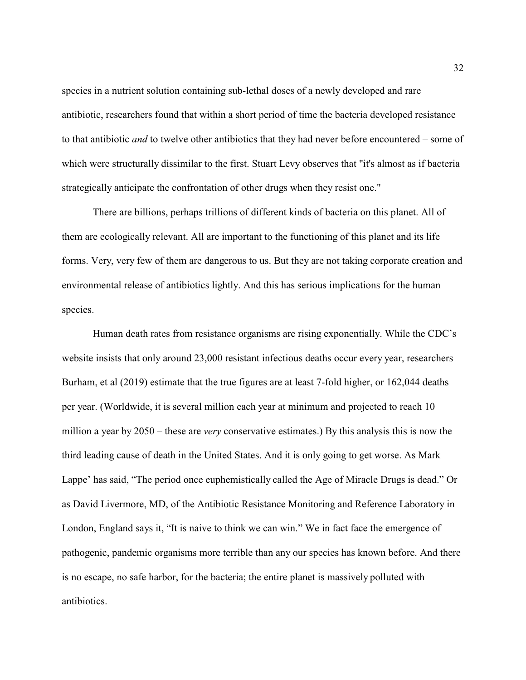species in a nutrient solution containing sub-lethal doses of a newly developed and rare antibiotic, researchers found that within a short period of time the bacteria developed resistance to that antibiotic *and* to twelve other antibiotics that they had never before encountered – some of which were structurally dissimilar to the first. Stuart Levy observes that "it's almost as if bacteria strategically anticipate the confrontation of other drugs when they resist one."

There are billions, perhaps trillions of different kinds of bacteria on this planet. All of them are ecologically relevant. All are important to the functioning of this planet and its life forms. Very, very few of them are dangerous to us. But they are not taking corporate creation and environmental release of antibiotics lightly. And this has serious implications for the human species.

Human death rates from resistance organisms are rising exponentially. While the CDC's website insists that only around 23,000 resistant infectious deaths occur every year, researchers Burham, et al (2019) estimate that the true figures are at least 7-fold higher, or 162,044 deaths per year. (Worldwide, it is several million each year at minimum and projected to reach 10 million a year by 2050 – these are *very* conservative estimates.) By this analysis this is now the third leading cause of death in the United States. And it is only going to get worse. As Mark Lappe' has said, "The period once euphemistically called the Age of Miracle Drugs is dead." Or as David Livermore, MD, of the Antibiotic Resistance Monitoring and Reference Laboratory in London, England says it, "It is naive to think we can win." We in fact face the emergence of pathogenic, pandemic organisms more terrible than any our species has known before. And there is no escape, no safe harbor, for the bacteria; the entire planet is massively polluted with antibiotics.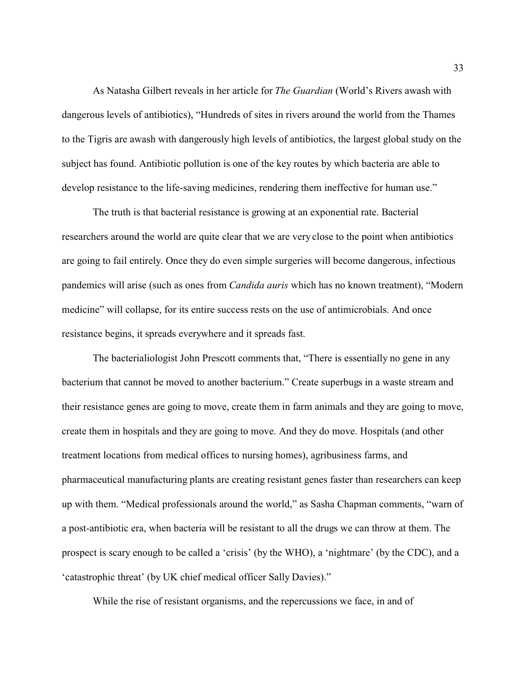As Natasha Gilbert reveals in her article for *The Guardian* (World's Rivers awash with dangerous levels of antibiotics), "Hundreds of sites in rivers around the world from the Thames to the Tigris are awash with dangerously high levels of antibiotics, the largest global study on the subject has found. Antibiotic pollution is one of the key routes by which bacteria are able to develop resistance to the life-saving medicines, rendering them ineffective for human use."

The truth is that bacterial resistance is growing at an exponential rate. Bacterial researchers around the world are quite clear that we are very close to the point when antibiotics are going to fail entirely. Once they do even simple surgeries will become dangerous, infectious pandemics will arise (such as ones from *Candida auris* which has no known treatment), "Modern medicine" will collapse, for its entire success rests on the use of antimicrobials. And once resistance begins, it spreads everywhere and it spreads fast.

The bacterialiologist John Prescott comments that, "There is essentially no gene in any bacterium that cannot be moved to another bacterium." Create superbugs in a waste stream and their resistance genes are going to move, create them in farm animals and they are going to move, create them in hospitals and they are going to move. And they do move. Hospitals (and other treatment locations from medical offices to nursing homes), agribusiness farms, and pharmaceutical manufacturing plants are creating resistant genes faster than researchers can keep up with them. "Medical professionals around the world," as Sasha Chapman comments, "warn of a post-antibiotic era, when bacteria will be resistant to all the drugs we can throw at them. The prospect is scary enough to be called a 'crisis' (by the WHO), a 'nightmare' (by the CDC), and a 'catastrophic threat' (by UK chief medical officer Sally Davies)."

While the rise of resistant organisms, and the repercussions we face, in and of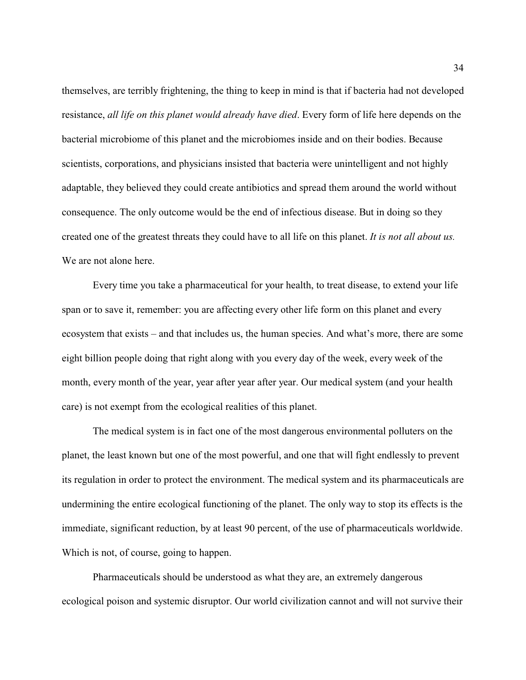themselves, are terribly frightening, the thing to keep in mind is that if bacteria had not developed resistance, *all life on this planet would already have died*. Every form of life here depends on the bacterial microbiome of this planet and the microbiomes inside and on their bodies. Because scientists, corporations, and physicians insisted that bacteria were unintelligent and not highly adaptable, they believed they could create antibiotics and spread them around the world without consequence. The only outcome would be the end of infectious disease. But in doing so they created one of the greatest threats they could have to all life on this planet. *It is not all about us.* We are not alone here.

Every time you take a pharmaceutical for your health, to treat disease, to extend your life span or to save it, remember: you are affecting every other life form on this planet and every ecosystem that exists – and that includes us, the human species. And what's more, there are some eight billion people doing that right along with you every day of the week, every week of the month, every month of the year, year after year after year. Our medical system (and your health care) is not exempt from the ecological realities of this planet.

The medical system is in fact one of the most dangerous environmental polluters on the planet, the least known but one of the most powerful, and one that will fight endlessly to prevent its regulation in order to protect the environment. The medical system and its pharmaceuticals are undermining the entire ecological functioning of the planet. The only way to stop its effects is the immediate, significant reduction, by at least 90 percent, of the use of pharmaceuticals worldwide. Which is not, of course, going to happen.

Pharmaceuticals should be understood as what they are, an extremely dangerous ecological poison and systemic disruptor. Our world civilization cannot and will not survive their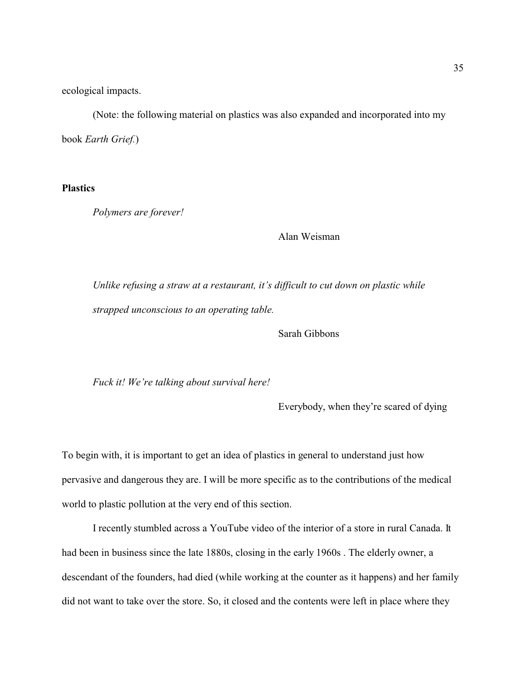ecological impacts.

(Note: the following material on plastics was also expanded and incorporated into my book *Earth Grief.*)

**Plastics**

*Polymers are forever!*

Alan Weisman

*Unlike refusing a straw at a restaurant, it's difficult to cut down on plastic while strapped unconscious to an operating table.* 

Sarah Gibbons

*Fuck it! We're talking about survival here!*

Everybody, when they're scared of dying

To begin with, it is important to get an idea of plastics in general to understand just how pervasive and dangerous they are. I will be more specific as to the contributions of the medical world to plastic pollution at the very end of this section.

I recently stumbled across a YouTube video of the interior of a store in rural Canada. It had been in business since the late 1880s, closing in the early 1960s . The elderly owner, a descendant of the founders, had died (while working at the counter as it happens) and her family did not want to take over the store. So, it closed and the contents were left in place where they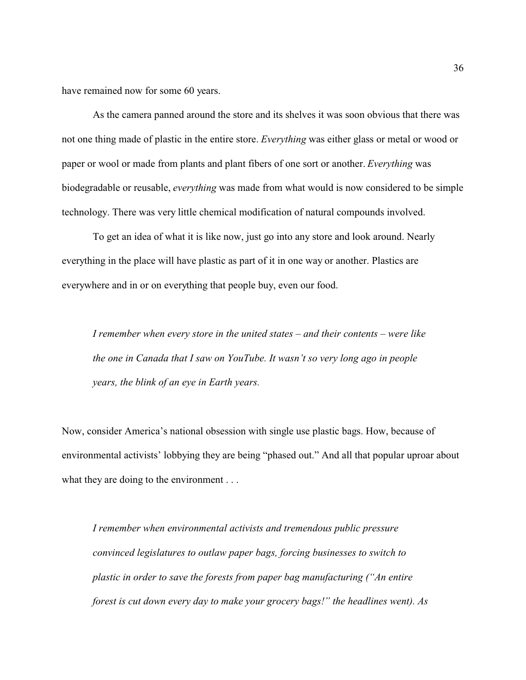have remained now for some 60 years.

As the camera panned around the store and its shelves it was soon obvious that there was not one thing made of plastic in the entire store. *Everything* was either glass or metal or wood or paper or wool or made from plants and plant fibers of one sort or another. *Everything* was biodegradable or reusable, *everything* was made from what would is now considered to be simple technology. There was very little chemical modification of natural compounds involved.

To get an idea of what it is like now, just go into any store and look around. Nearly everything in the place will have plastic as part of it in one way or another. Plastics are everywhere and in or on everything that people buy, even our food.

*I remember when every store in the united states – and their contents – were like the one in Canada that I saw on YouTube. It wasn't so very long ago in people years, the blink of an eye in Earth years.* 

Now, consider America's national obsession with single use plastic bags. How, because of environmental activists' lobbying they are being "phased out." And all that popular uproar about what they are doing to the environment . . .

*I remember when environmental activists and tremendous public pressure convinced legislatures to outlaw paper bags, forcing businesses to switch to plastic in order to save the forests from paper bag manufacturing ("An entire forest is cut down every day to make your grocery bags!" the headlines went). As*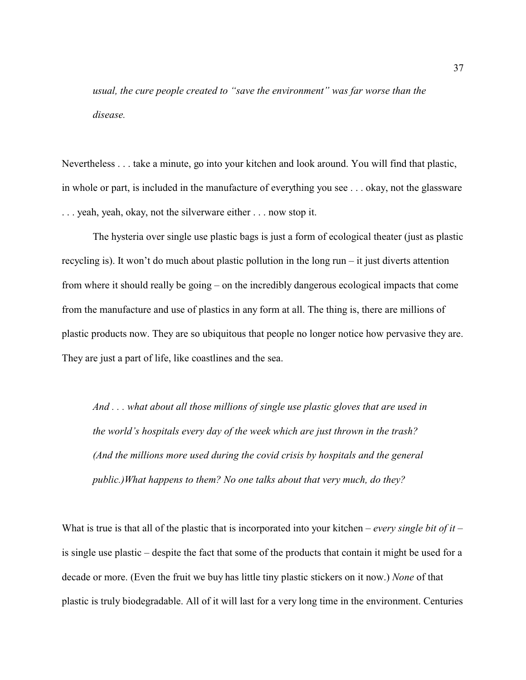*usual, the cure people created to "save the environment" was far worse than the disease.* 

Nevertheless . . . take a minute, go into your kitchen and look around. You will find that plastic, in whole or part, is included in the manufacture of everything you see . . . okay, not the glassware . . . yeah, yeah, okay, not the silverware either . . . now stop it.

The hysteria over single use plastic bags is just a form of ecological theater (just as plastic recycling is). It won't do much about plastic pollution in the long run – it just diverts attention from where it should really be going – on the incredibly dangerous ecological impacts that come from the manufacture and use of plastics in any form at all. The thing is, there are millions of plastic products now. They are so ubiquitous that people no longer notice how pervasive they are. They are just a part of life, like coastlines and the sea.

*And . . . what about all those millions of single use plastic gloves that are used in the world's hospitals every day of the week which are just thrown in the trash? (And the millions more used during the covid crisis by hospitals and the general public.)What happens to them? No one talks about that very much, do they?*

What is true is that all of the plastic that is incorporated into your kitchen – *every single bit of it* – is single use plastic – despite the fact that some of the products that contain it might be used for a decade or more. (Even the fruit we buy has little tiny plastic stickers on it now.) *None* of that plastic is truly biodegradable. All of it will last for a very long time in the environment. Centuries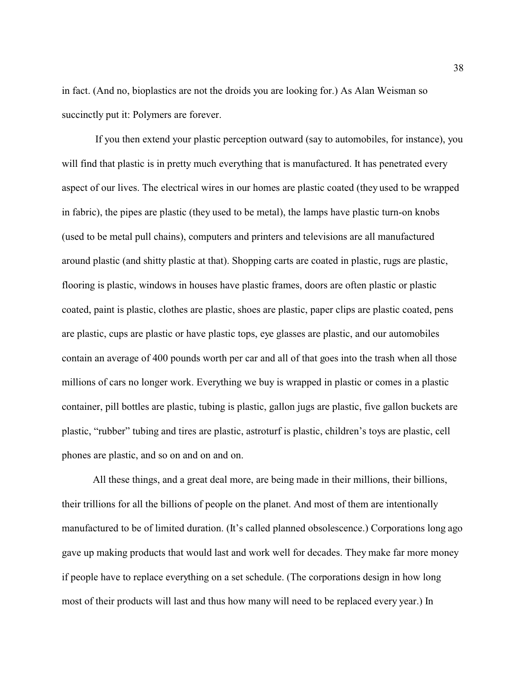in fact. (And no, bioplastics are not the droids you are looking for.) As Alan Weisman so succinctly put it: Polymers are forever.

 If you then extend your plastic perception outward (say to automobiles, for instance), you will find that plastic is in pretty much everything that is manufactured. It has penetrated every aspect of our lives. The electrical wires in our homes are plastic coated (they used to be wrapped in fabric), the pipes are plastic (they used to be metal), the lamps have plastic turn-on knobs (used to be metal pull chains), computers and printers and televisions are all manufactured around plastic (and shitty plastic at that). Shopping carts are coated in plastic, rugs are plastic, flooring is plastic, windows in houses have plastic frames, doors are often plastic or plastic coated, paint is plastic, clothes are plastic, shoes are plastic, paper clips are plastic coated, pens are plastic, cups are plastic or have plastic tops, eye glasses are plastic, and our automobiles contain an average of 400 pounds worth per car and all of that goes into the trash when all those millions of cars no longer work. Everything we buy is wrapped in plastic or comes in a plastic container, pill bottles are plastic, tubing is plastic, gallon jugs are plastic, five gallon buckets are plastic, "rubber" tubing and tires are plastic, astroturf is plastic, children's toys are plastic, cell phones are plastic, and so on and on and on.

All these things, and a great deal more, are being made in their millions, their billions, their trillions for all the billions of people on the planet. And most of them are intentionally manufactured to be of limited duration. (It's called planned obsolescence.) Corporations long ago gave up making products that would last and work well for decades. They make far more money if people have to replace everything on a set schedule. (The corporations design in how long most of their products will last and thus how many will need to be replaced every year.) In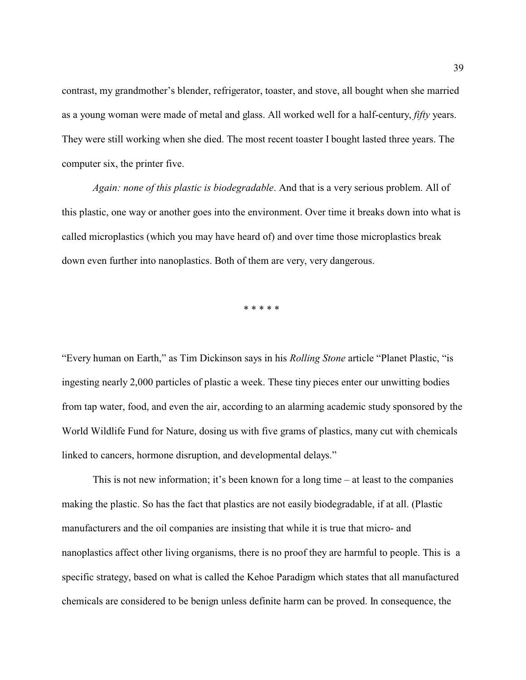contrast, my grandmother's blender, refrigerator, toaster, and stove, all bought when she married as a young woman were made of metal and glass. All worked well for a half-century, *fifty* years. They were still working when she died. The most recent toaster I bought lasted three years. The computer six, the printer five.

*Again: none of this plastic is biodegradable*. And that is a very serious problem. All of this plastic, one way or another goes into the environment. Over time it breaks down into what is called microplastics (which you may have heard of) and over time those microplastics break down even further into nanoplastics. Both of them are very, very dangerous.

\* \* \* \* \*

"Every human on Earth," as Tim Dickinson says in his *Rolling Stone* article "Planet Plastic, "is ingesting nearly 2,000 particles of plastic a week. These tiny pieces enter our unwitting bodies from tap water, food, and even the air, according to an alarming academic study sponsored by the World Wildlife Fund for Nature, dosing us with five grams of plastics, many cut with chemicals linked to cancers, hormone disruption, and developmental delays."

This is not new information; it's been known for a long time  $-$  at least to the companies making the plastic. So has the fact that plastics are not easily biodegradable, if at all. (Plastic manufacturers and the oil companies are insisting that while it is true that micro- and nanoplastics affect other living organisms, there is no proof they are harmful to people. This is a specific strategy, based on what is called the Kehoe Paradigm which states that all manufactured chemicals are considered to be benign unless definite harm can be proved. In consequence, the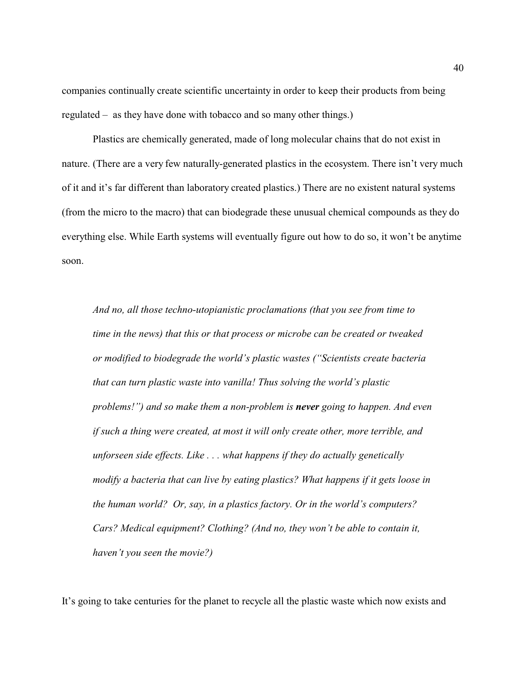companies continually create scientific uncertainty in order to keep their products from being regulated – as they have done with tobacco and so many other things.)

Plastics are chemically generated, made of long molecular chains that do not exist in nature. (There are a very few naturally-generated plastics in the ecosystem. There isn't very much of it and it's far different than laboratory created plastics.) There are no existent natural systems (from the micro to the macro) that can biodegrade these unusual chemical compounds as they do everything else. While Earth systems will eventually figure out how to do so, it won't be anytime soon.

*And no, all those techno-utopianistic proclamations (that you see from time to time in the news) that this or that process or microbe can be created or tweaked or modified to biodegrade the world's plastic wastes ("Scientists create bacteria that can turn plastic waste into vanilla! Thus solving the world's plastic problems!") and so make them a non-problem is never going to happen. And even if such a thing were created, at most it will only create other, more terrible, and unforseen side effects. Like . . . what happens if they do actually genetically modify a bacteria that can live by eating plastics? What happens if it gets loose in the human world? Or, say, in a plastics factory. Or in the world's computers? Cars? Medical equipment? Clothing? (And no, they won't be able to contain it, haven't you seen the movie?)*

It's going to take centuries for the planet to recycle all the plastic waste which now exists and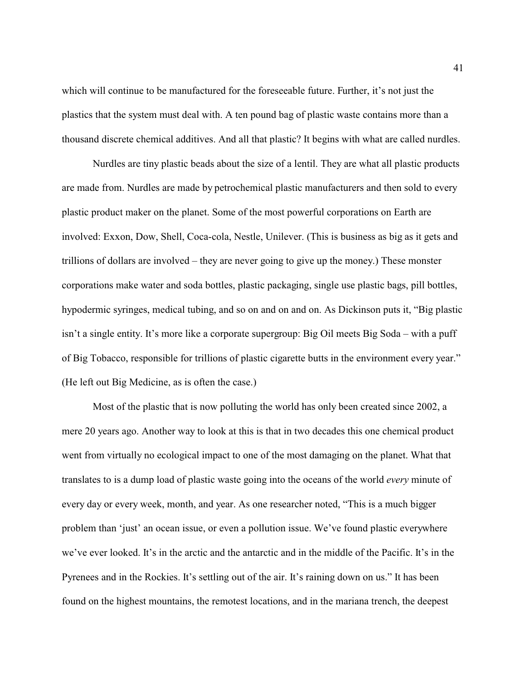which will continue to be manufactured for the foreseeable future. Further, it's not just the plastics that the system must deal with. A ten pound bag of plastic waste contains more than a thousand discrete chemical additives. And all that plastic? It begins with what are called nurdles.

Nurdles are tiny plastic beads about the size of a lentil. They are what all plastic products are made from. Nurdles are made by petrochemical plastic manufacturers and then sold to every plastic product maker on the planet. Some of the most powerful corporations on Earth are involved: Exxon, Dow, Shell, Coca-cola, Nestle, Unilever. (This is business as big as it gets and trillions of dollars are involved – they are never going to give up the money.) These monster corporations make water and soda bottles, plastic packaging, single use plastic bags, pill bottles, hypodermic syringes, medical tubing, and so on and on and on. As Dickinson puts it, "Big plastic isn't a single entity. It's more like a corporate supergroup: Big Oil meets Big Soda – with a puff of Big Tobacco, responsible for trillions of plastic cigarette butts in the environment every year." (He left out Big Medicine, as is often the case.)

Most of the plastic that is now polluting the world has only been created since 2002, a mere 20 years ago. Another way to look at this is that in two decades this one chemical product went from virtually no ecological impact to one of the most damaging on the planet. What that translates to is a dump load of plastic waste going into the oceans of the world *every* minute of every day or every week, month, and year. As one researcher noted, "This is a much bigger problem than 'just' an ocean issue, or even a pollution issue. We've found plastic everywhere we've ever looked. It's in the arctic and the antarctic and in the middle of the Pacific. It's in the Pyrenees and in the Rockies. It's settling out of the air. It's raining down on us." It has been found on the highest mountains, the remotest locations, and in the mariana trench, the deepest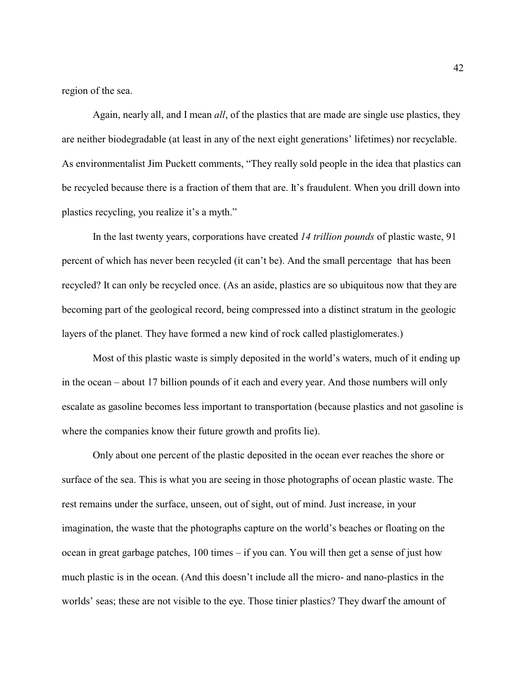region of the sea.

Again, nearly all, and I mean *all*, of the plastics that are made are single use plastics, they are neither biodegradable (at least in any of the next eight generations' lifetimes) nor recyclable. As environmentalist Jim Puckett comments, "They really sold people in the idea that plastics can be recycled because there is a fraction of them that are. It's fraudulent. When you drill down into plastics recycling, you realize it's a myth."

In the last twenty years, corporations have created *14 trillion pounds* of plastic waste, 91 percent of which has never been recycled (it can't be). And the small percentage that has been recycled? It can only be recycled once. (As an aside, plastics are so ubiquitous now that they are becoming part of the geological record, being compressed into a distinct stratum in the geologic layers of the planet. They have formed a new kind of rock called plastiglomerates.)

Most of this plastic waste is simply deposited in the world's waters, much of it ending up in the ocean – about 17 billion pounds of it each and every year. And those numbers will only escalate as gasoline becomes less important to transportation (because plastics and not gasoline is where the companies know their future growth and profits lie).

Only about one percent of the plastic deposited in the ocean ever reaches the shore or surface of the sea. This is what you are seeing in those photographs of ocean plastic waste. The rest remains under the surface, unseen, out of sight, out of mind. Just increase, in your imagination, the waste that the photographs capture on the world's beaches or floating on the ocean in great garbage patches, 100 times – if you can. You will then get a sense of just how much plastic is in the ocean. (And this doesn't include all the micro- and nano-plastics in the worlds' seas; these are not visible to the eye. Those tinier plastics? They dwarf the amount of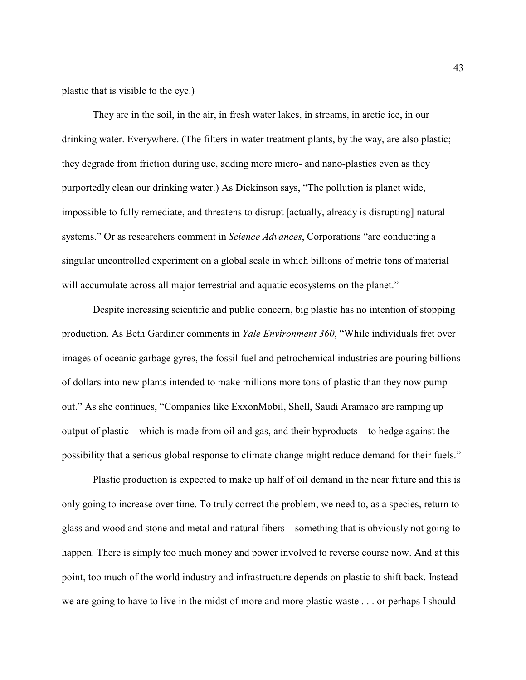plastic that is visible to the eye.)

They are in the soil, in the air, in fresh water lakes, in streams, in arctic ice, in our drinking water. Everywhere. (The filters in water treatment plants, by the way, are also plastic; they degrade from friction during use, adding more micro- and nano-plastics even as they purportedly clean our drinking water.) As Dickinson says, "The pollution is planet wide, impossible to fully remediate, and threatens to disrupt [actually, already is disrupting] natural systems." Or as researchers comment in *Science Advances*, Corporations "are conducting a singular uncontrolled experiment on a global scale in which billions of metric tons of material will accumulate across all major terrestrial and aquatic ecosystems on the planet."

Despite increasing scientific and public concern, big plastic has no intention of stopping production. As Beth Gardiner comments in *Yale Environment 360*, "While individuals fret over images of oceanic garbage gyres, the fossil fuel and petrochemical industries are pouring billions of dollars into new plants intended to make millions more tons of plastic than they now pump out." As she continues, "Companies like ExxonMobil, Shell, Saudi Aramaco are ramping up output of plastic – which is made from oil and gas, and their byproducts – to hedge against the possibility that a serious global response to climate change might reduce demand for their fuels."

Plastic production is expected to make up half of oil demand in the near future and this is only going to increase over time. To truly correct the problem, we need to, as a species, return to glass and wood and stone and metal and natural fibers – something that is obviously not going to happen. There is simply too much money and power involved to reverse course now. And at this point, too much of the world industry and infrastructure depends on plastic to shift back. Instead we are going to have to live in the midst of more and more plastic waste . . . or perhaps I should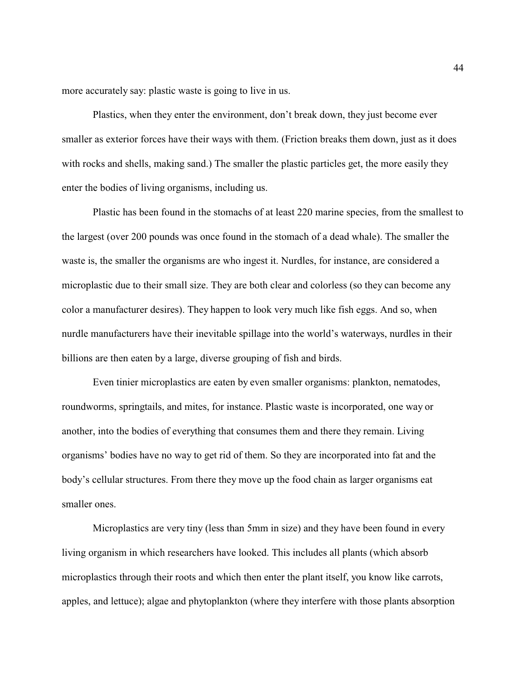more accurately say: plastic waste is going to live in us.

Plastics, when they enter the environment, don't break down, they just become ever smaller as exterior forces have their ways with them. (Friction breaks them down, just as it does with rocks and shells, making sand.) The smaller the plastic particles get, the more easily they enter the bodies of living organisms, including us.

Plastic has been found in the stomachs of at least 220 marine species, from the smallest to the largest (over 200 pounds was once found in the stomach of a dead whale). The smaller the waste is, the smaller the organisms are who ingest it. Nurdles, for instance, are considered a microplastic due to their small size. They are both clear and colorless (so they can become any color a manufacturer desires). They happen to look very much like fish eggs. And so, when nurdle manufacturers have their inevitable spillage into the world's waterways, nurdles in their billions are then eaten by a large, diverse grouping of fish and birds.

Even tinier microplastics are eaten by even smaller organisms: plankton, nematodes, roundworms, springtails, and mites, for instance. Plastic waste is incorporated, one way or another, into the bodies of everything that consumes them and there they remain. Living organisms' bodies have no way to get rid of them. So they are incorporated into fat and the body's cellular structures. From there they move up the food chain as larger organisms eat smaller ones.

Microplastics are very tiny (less than 5mm in size) and they have been found in every living organism in which researchers have looked. This includes all plants (which absorb microplastics through their roots and which then enter the plant itself, you know like carrots, apples, and lettuce); algae and phytoplankton (where they interfere with those plants absorption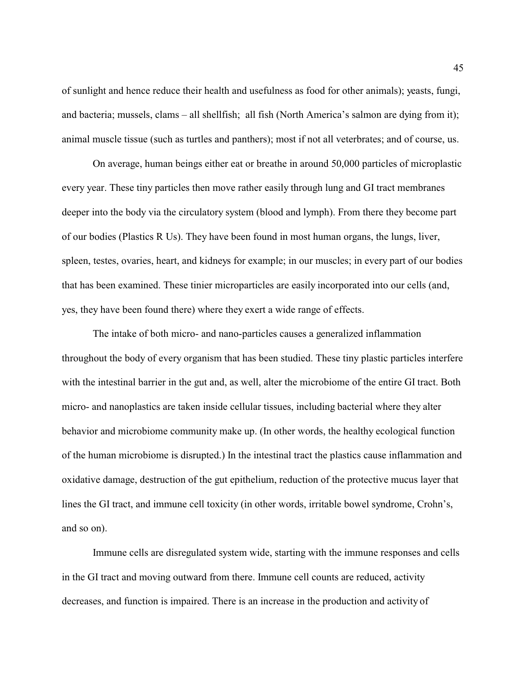of sunlight and hence reduce their health and usefulness as food for other animals); yeasts, fungi, and bacteria; mussels, clams – all shellfish; all fish (North America's salmon are dying from it); animal muscle tissue (such as turtles and panthers); most if not all veterbrates; and of course, us.

On average, human beings either eat or breathe in around 50,000 particles of microplastic every year. These tiny particles then move rather easily through lung and GI tract membranes deeper into the body via the circulatory system (blood and lymph). From there they become part of our bodies (Plastics R Us). They have been found in most human organs, the lungs, liver, spleen, testes, ovaries, heart, and kidneys for example; in our muscles; in every part of our bodies that has been examined. These tinier microparticles are easily incorporated into our cells (and, yes, they have been found there) where they exert a wide range of effects.

The intake of both micro- and nano-particles causes a generalized inflammation throughout the body of every organism that has been studied. These tiny plastic particles interfere with the intestinal barrier in the gut and, as well, alter the microbiome of the entire GI tract. Both micro- and nanoplastics are taken inside cellular tissues, including bacterial where they alter behavior and microbiome community make up. (In other words, the healthy ecological function of the human microbiome is disrupted.) In the intestinal tract the plastics cause inflammation and oxidative damage, destruction of the gut epithelium, reduction of the protective mucus layer that lines the GI tract, and immune cell toxicity (in other words, irritable bowel syndrome, Crohn's, and so on).

Immune cells are disregulated system wide, starting with the immune responses and cells in the GI tract and moving outward from there. Immune cell counts are reduced, activity decreases, and function is impaired. There is an increase in the production and activity of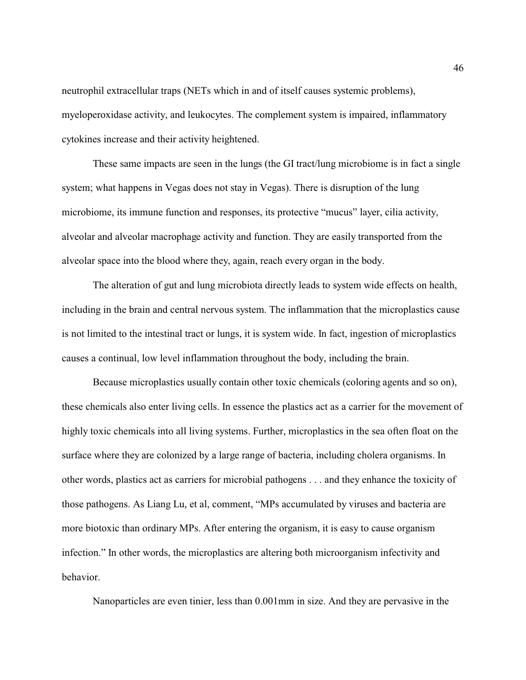neutrophil extracellular traps (NETs which in and of itself causes systemic problems), myeloperoxidase activity, and leukocytes. The complement system is impaired, inflammatory cytokines increase and their activity heightened.

These same impacts are seen in the lungs (the GI tract/lung microbiome is in fact a single system; what happens in Vegas does not stay in Vegas). There is disruption of the lung microbiome, its immune function and responses, its protective "mucus" layer, cilia activity, alveolar and alveolar macrophage activity and function. They are easily transported from the alveolar space into the blood where they, again, reach every organ in the body.

The alteration of gut and lung microbiota directly leads to system wide effects on health, including in the brain and central nervous system. The inflammation that the microplastics cause is not limited to the intestinal tract or lungs, it is system wide. In fact, ingestion of microplastics causes a continual, low level inflammation throughout the body, including the brain.

Because microplastics usually contain other toxic chemicals (coloring agents and so on), these chemicals also enter living cells. In essence the plastics act as a carrier for the movement of highly toxic chemicals into all living systems. Further, microplastics in the sea often float on the surface where they are colonized by a large range of bacteria, including cholera organisms. In other words, plastics act as carriers for microbial pathogens . . . and they enhance the toxicity of those pathogens. As Liang Lu, et al, comment, "MPs accumulated by viruses and bacteria are more biotoxic than ordinary MPs. After entering the organism, it is easy to cause organism infection." In other words, the microplastics are altering both microorganism infectivity and behavior.

Nanoparticles are even tinier, less than 0.001mm in size. And they are pervasive in the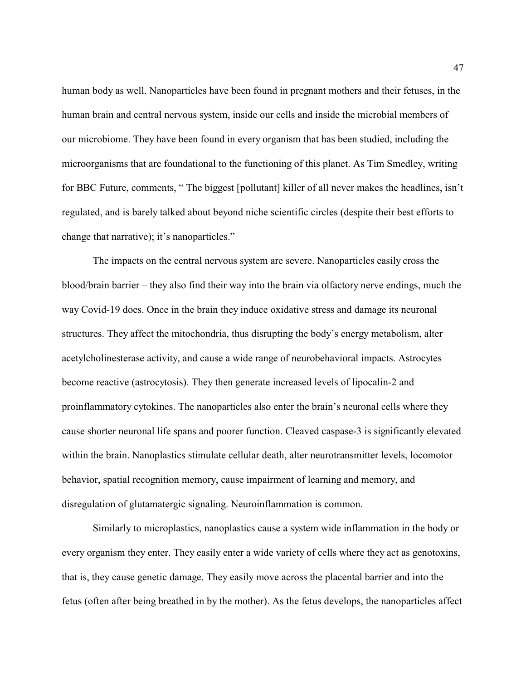human body as well. Nanoparticles have been found in pregnant mothers and their fetuses, in the human brain and central nervous system, inside our cells and inside the microbial members of our microbiome. They have been found in every organism that has been studied, including the microorganisms that are foundational to the functioning of this planet. As Tim Smedley, writing for BBC Future, comments, " The biggest [pollutant] killer of all never makes the headlines, isn't regulated, and is barely talked about beyond niche scientific circles (despite their best efforts to change that narrative); it's nanoparticles."

The impacts on the central nervous system are severe. Nanoparticles easily cross the blood/brain barrier – they also find their way into the brain via olfactory nerve endings, much the way Covid-19 does. Once in the brain they induce oxidative stress and damage its neuronal structures. They affect the mitochondria, thus disrupting the body's energy metabolism, alter acetylcholinesterase activity, and cause a wide range of neurobehavioral impacts. Astrocytes become reactive (astrocytosis). They then generate increased levels of lipocalin-2 and proinflammatory cytokines. The nanoparticles also enter the brain's neuronal cells where they cause shorter neuronal life spans and poorer function. Cleaved caspase-3 is significantly elevated within the brain. Nanoplastics stimulate cellular death, alter neurotransmitter levels, locomotor behavior, spatial recognition memory, cause impairment of learning and memory, and disregulation of glutamatergic signaling. Neuroinflammation is common.

Similarly to microplastics, nanoplastics cause a system wide inflammation in the body or every organism they enter. They easily enter a wide variety of cells where they act as genotoxins, that is, they cause genetic damage. They easily move across the placental barrier and into the fetus (often after being breathed in by the mother). As the fetus develops, the nanoparticles affect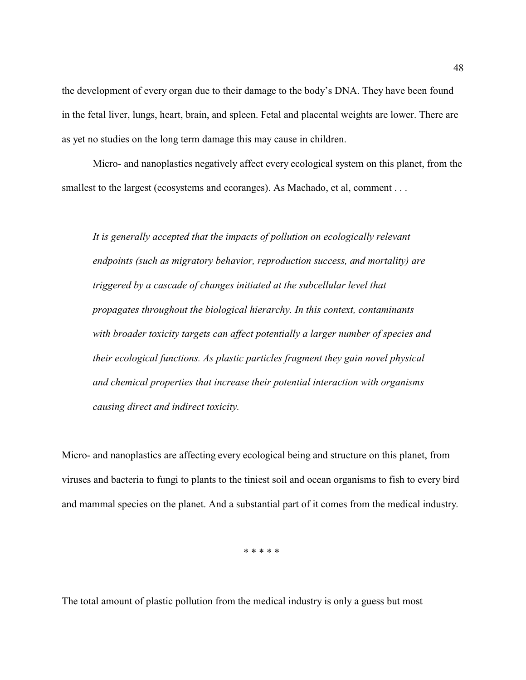the development of every organ due to their damage to the body's DNA. They have been found in the fetal liver, lungs, heart, brain, and spleen. Fetal and placental weights are lower. There are as yet no studies on the long term damage this may cause in children.

Micro- and nanoplastics negatively affect every ecological system on this planet, from the smallest to the largest (ecosystems and ecoranges). As Machado, et al, comment . . .

*It is generally accepted that the impacts of pollution on ecologically relevant endpoints (such as migratory behavior, reproduction success, and mortality) are triggered by a cascade of changes initiated at the subcellular level that propagates throughout the biological hierarchy. In this context, contaminants with broader toxicity targets can affect potentially a larger number of species and their ecological functions. As plastic particles fragment they gain novel physical and chemical properties that increase their potential interaction with organisms causing direct and indirect toxicity.*

Micro- and nanoplastics are affecting every ecological being and structure on this planet, from viruses and bacteria to fungi to plants to the tiniest soil and ocean organisms to fish to every bird and mammal species on the planet. And a substantial part of it comes from the medical industry.

\* \* \* \* \*

The total amount of plastic pollution from the medical industry is only a guess but most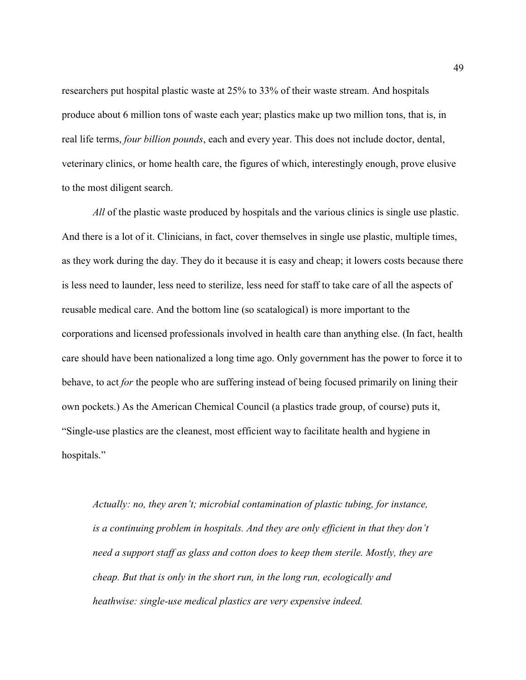researchers put hospital plastic waste at 25% to 33% of their waste stream. And hospitals produce about 6 million tons of waste each year; plastics make up two million tons, that is, in real life terms, *four billion pounds*, each and every year. This does not include doctor, dental, veterinary clinics, or home health care, the figures of which, interestingly enough, prove elusive to the most diligent search.

*All* of the plastic waste produced by hospitals and the various clinics is single use plastic. And there is a lot of it. Clinicians, in fact, cover themselves in single use plastic, multiple times, as they work during the day. They do it because it is easy and cheap; it lowers costs because there is less need to launder, less need to sterilize, less need for staff to take care of all the aspects of reusable medical care. And the bottom line (so scatalogical) is more important to the corporations and licensed professionals involved in health care than anything else. (In fact, health care should have been nationalized a long time ago. Only government has the power to force it to behave, to act *for* the people who are suffering instead of being focused primarily on lining their own pockets.) As the American Chemical Council (a plastics trade group, of course) puts it, "Single-use plastics are the cleanest, most efficient way to facilitate health and hygiene in hospitals."

*Actually: no, they aren't; microbial contamination of plastic tubing, for instance, is a continuing problem in hospitals. And they are only efficient in that they don't need a support staff as glass and cotton does to keep them sterile. Mostly, they are cheap. But that is only in the short run, in the long run, ecologically and heathwise: single-use medical plastics are very expensive indeed.*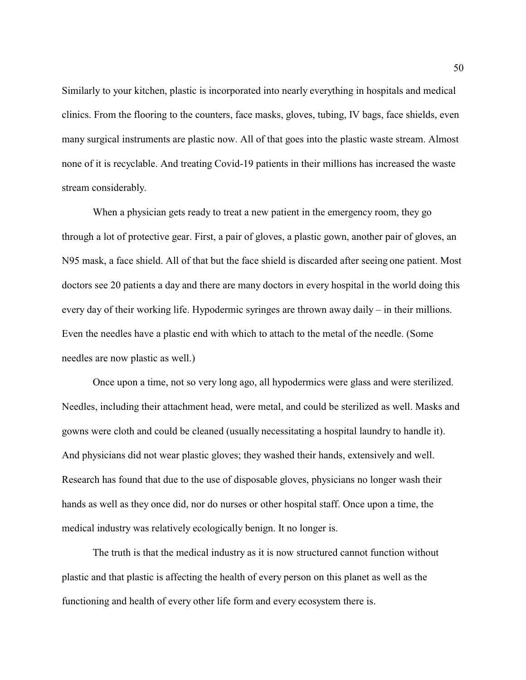Similarly to your kitchen, plastic is incorporated into nearly everything in hospitals and medical clinics. From the flooring to the counters, face masks, gloves, tubing, IV bags, face shields, even many surgical instruments are plastic now. All of that goes into the plastic waste stream. Almost none of it is recyclable. And treating Covid-19 patients in their millions has increased the waste stream considerably.

When a physician gets ready to treat a new patient in the emergency room, they go through a lot of protective gear. First, a pair of gloves, a plastic gown, another pair of gloves, an N95 mask, a face shield. All of that but the face shield is discarded after seeing one patient. Most doctors see 20 patients a day and there are many doctors in every hospital in the world doing this every day of their working life. Hypodermic syringes are thrown away daily – in their millions. Even the needles have a plastic end with which to attach to the metal of the needle. (Some needles are now plastic as well.)

Once upon a time, not so very long ago, all hypodermics were glass and were sterilized. Needles, including their attachment head, were metal, and could be sterilized as well. Masks and gowns were cloth and could be cleaned (usually necessitating a hospital laundry to handle it). And physicians did not wear plastic gloves; they washed their hands, extensively and well. Research has found that due to the use of disposable gloves, physicians no longer wash their hands as well as they once did, nor do nurses or other hospital staff. Once upon a time, the medical industry was relatively ecologically benign. It no longer is.

The truth is that the medical industry as it is now structured cannot function without plastic and that plastic is affecting the health of every person on this planet as well as the functioning and health of every other life form and every ecosystem there is.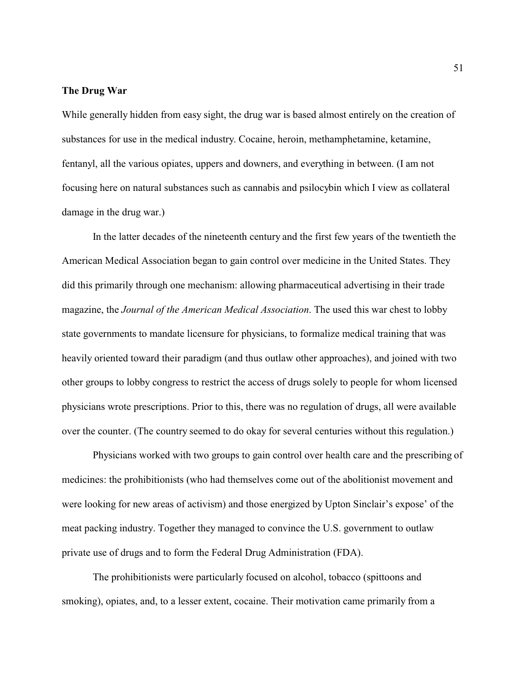#### **The Drug War**

While generally hidden from easy sight, the drug war is based almost entirely on the creation of substances for use in the medical industry. Cocaine, heroin, methamphetamine, ketamine, fentanyl, all the various opiates, uppers and downers, and everything in between. (I am not focusing here on natural substances such as cannabis and psilocybin which I view as collateral damage in the drug war.)

In the latter decades of the nineteenth century and the first few years of the twentieth the American Medical Association began to gain control over medicine in the United States. They did this primarily through one mechanism: allowing pharmaceutical advertising in their trade magazine, the *Journal of the American Medical Association*. The used this war chest to lobby state governments to mandate licensure for physicians, to formalize medical training that was heavily oriented toward their paradigm (and thus outlaw other approaches), and joined with two other groups to lobby congress to restrict the access of drugs solely to people for whom licensed physicians wrote prescriptions. Prior to this, there was no regulation of drugs, all were available over the counter. (The country seemed to do okay for several centuries without this regulation.)

Physicians worked with two groups to gain control over health care and the prescribing of medicines: the prohibitionists (who had themselves come out of the abolitionist movement and were looking for new areas of activism) and those energized by Upton Sinclair's expose' of the meat packing industry. Together they managed to convince the U.S. government to outlaw private use of drugs and to form the Federal Drug Administration (FDA).

The prohibitionists were particularly focused on alcohol, tobacco (spittoons and smoking), opiates, and, to a lesser extent, cocaine. Their motivation came primarily from a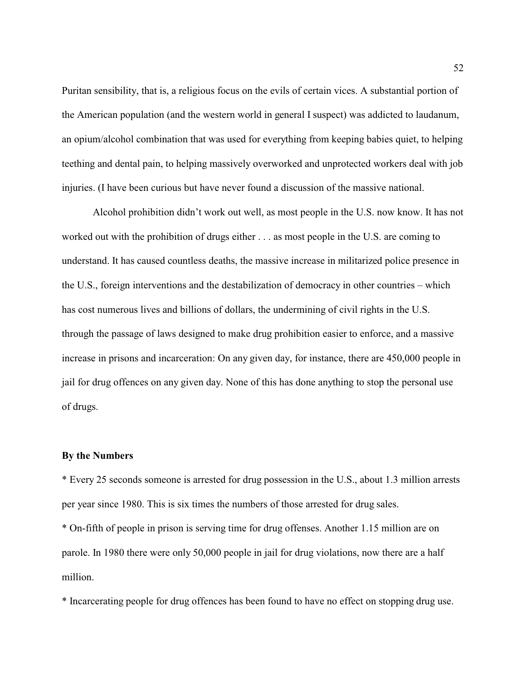Puritan sensibility, that is, a religious focus on the evils of certain vices. A substantial portion of the American population (and the western world in general I suspect) was addicted to laudanum, an opium/alcohol combination that was used for everything from keeping babies quiet, to helping teething and dental pain, to helping massively overworked and unprotected workers deal with job injuries. (I have been curious but have never found a discussion of the massive national.

Alcohol prohibition didn't work out well, as most people in the U.S. now know. It has not worked out with the prohibition of drugs either . . . as most people in the U.S. are coming to understand. It has caused countless deaths, the massive increase in militarized police presence in the U.S., foreign interventions and the destabilization of democracy in other countries – which has cost numerous lives and billions of dollars, the undermining of civil rights in the U.S. through the passage of laws designed to make drug prohibition easier to enforce, and a massive increase in prisons and incarceration: On any given day, for instance, there are 450,000 people in jail for drug offences on any given day. None of this has done anything to stop the personal use of drugs.

### **By the Numbers**

\* Every 25 seconds someone is arrested for drug possession in the U.S., about 1.3 million arrests per year since 1980. This is six times the numbers of those arrested for drug sales.

\* On-fifth of people in prison is serving time for drug offenses. Another 1.15 million are on parole. In 1980 there were only 50,000 people in jail for drug violations, now there are a half million.

\* Incarcerating people for drug offences has been found to have no effect on stopping drug use.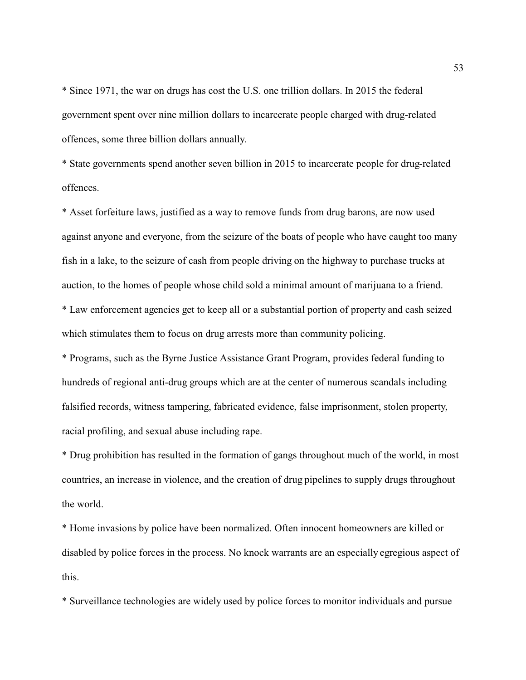\* Since 1971, the war on drugs has cost the U.S. one trillion dollars. In 2015 the federal government spent over nine million dollars to incarcerate people charged with drug-related offences, some three billion dollars annually.

\* State governments spend another seven billion in 2015 to incarcerate people for drug-related offences.

\* Asset forfeiture laws, justified as a way to remove funds from drug barons, are now used against anyone and everyone, from the seizure of the boats of people who have caught too many fish in a lake, to the seizure of cash from people driving on the highway to purchase trucks at auction, to the homes of people whose child sold a minimal amount of marijuana to a friend. \* Law enforcement agencies get to keep all or a substantial portion of property and cash seized which stimulates them to focus on drug arrests more than community policing.

\* Programs, such as the Byrne Justice Assistance Grant Program, provides federal funding to hundreds of regional anti-drug groups which are at the center of numerous scandals including falsified records, witness tampering, fabricated evidence, false imprisonment, stolen property, racial profiling, and sexual abuse including rape.

\* Drug prohibition has resulted in the formation of gangs throughout much of the world, in most countries, an increase in violence, and the creation of drug pipelines to supply drugs throughout the world.

\* Home invasions by police have been normalized. Often innocent homeowners are killed or disabled by police forces in the process. No knock warrants are an especially egregious aspect of this.

\* Surveillance technologies are widely used by police forces to monitor individuals and pursue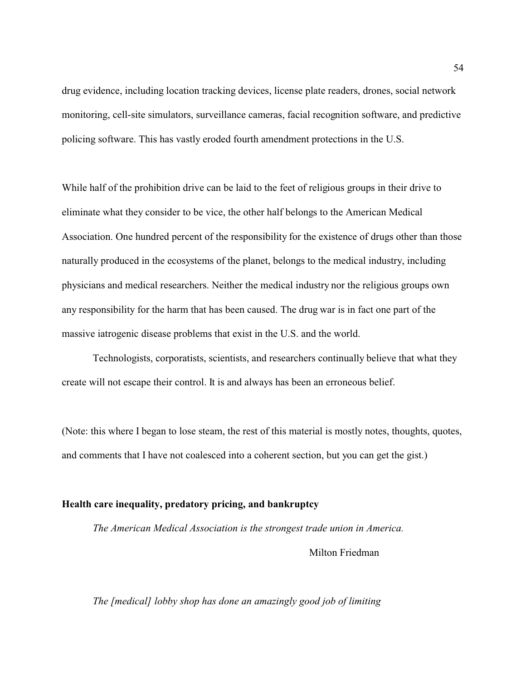drug evidence, including location tracking devices, license plate readers, drones, social network monitoring, cell-site simulators, surveillance cameras, facial recognition software, and predictive policing software. This has vastly eroded fourth amendment protections in the U.S.

While half of the prohibition drive can be laid to the feet of religious groups in their drive to eliminate what they consider to be vice, the other half belongs to the American Medical Association. One hundred percent of the responsibility for the existence of drugs other than those naturally produced in the ecosystems of the planet, belongs to the medical industry, including physicians and medical researchers. Neither the medical industry nor the religious groups own any responsibility for the harm that has been caused. The drug war is in fact one part of the massive iatrogenic disease problems that exist in the U.S. and the world.

Technologists, corporatists, scientists, and researchers continually believe that what they create will not escape their control. It is and always has been an erroneous belief.

(Note: this where I began to lose steam, the rest of this material is mostly notes, thoughts, quotes, and comments that I have not coalesced into a coherent section, but you can get the gist.)

## **Health care inequality, predatory pricing, and bankruptcy**

*The American Medical Association is the strongest trade union in America.* 

Milton Friedman

## *The [medical] lobby shop has done an amazingly good job of limiting*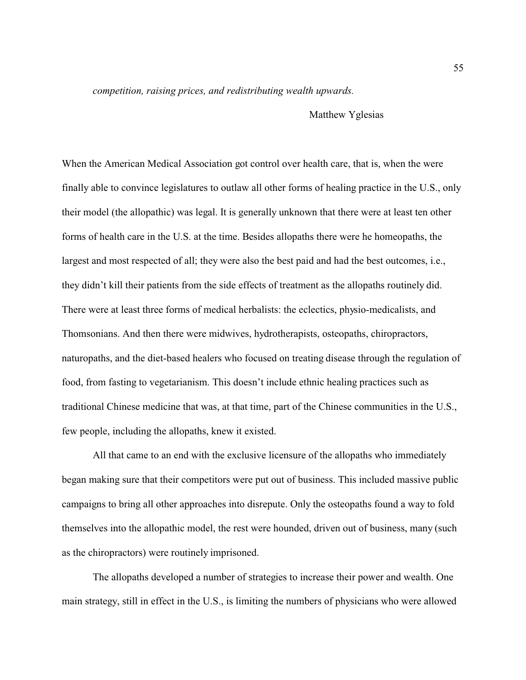*competition, raising prices, and redistributing wealth upwards.* 

Matthew Yglesias

When the American Medical Association got control over health care, that is, when the were finally able to convince legislatures to outlaw all other forms of healing practice in the U.S., only their model (the allopathic) was legal. It is generally unknown that there were at least ten other forms of health care in the U.S. at the time. Besides allopaths there were he homeopaths, the largest and most respected of all; they were also the best paid and had the best outcomes, i.e., they didn't kill their patients from the side effects of treatment as the allopaths routinely did. There were at least three forms of medical herbalists: the eclectics, physio-medicalists, and Thomsonians. And then there were midwives, hydrotherapists, osteopaths, chiropractors, naturopaths, and the diet-based healers who focused on treating disease through the regulation of food, from fasting to vegetarianism. This doesn't include ethnic healing practices such as traditional Chinese medicine that was, at that time, part of the Chinese communities in the U.S., few people, including the allopaths, knew it existed.

All that came to an end with the exclusive licensure of the allopaths who immediately began making sure that their competitors were put out of business. This included massive public campaigns to bring all other approaches into disrepute. Only the osteopaths found a way to fold themselves into the allopathic model, the rest were hounded, driven out of business, many (such as the chiropractors) were routinely imprisoned.

The allopaths developed a number of strategies to increase their power and wealth. One main strategy, still in effect in the U.S., is limiting the numbers of physicians who were allowed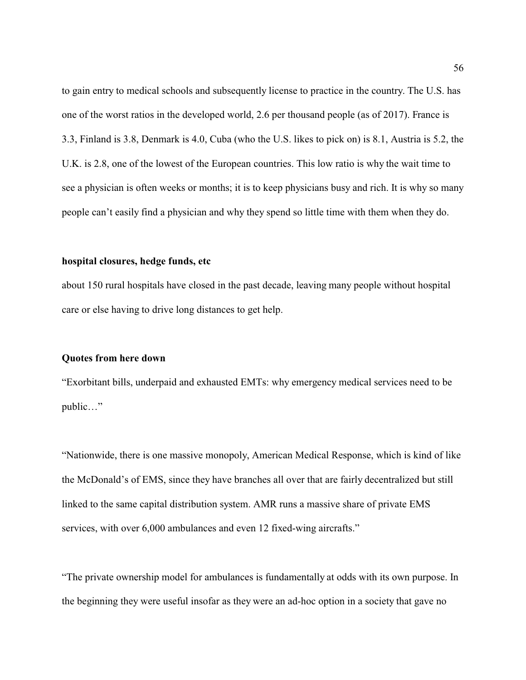to gain entry to medical schools and subsequently license to practice in the country. The U.S. has one of the worst ratios in the developed world, 2.6 per thousand people (as of 2017). France is 3.3, Finland is 3.8, Denmark is 4.0, Cuba (who the U.S. likes to pick on) is 8.1, Austria is 5.2, the U.K. is 2.8, one of the lowest of the European countries. This low ratio is why the wait time to see a physician is often weeks or months; it is to keep physicians busy and rich. It is why so many people can't easily find a physician and why they spend so little time with them when they do.

## **hospital closures, hedge funds, etc**

about 150 rural hospitals have closed in the past decade, leaving many people without hospital care or else having to drive long distances to get help.

## **Quotes from here down**

"Exorbitant bills, underpaid and exhausted EMTs: why emergency medical services need to be public…"

"Nationwide, there is one massive monopoly, American Medical Response, which is kind of like the McDonald's of EMS, since they have branches all over that are fairly decentralized but still linked to the same capital distribution system. AMR runs a massive share of private EMS services, with over 6,000 ambulances and even 12 fixed-wing aircrafts."

"The private ownership model for ambulances is fundamentally at odds with its own purpose. In the beginning they were useful insofar as they were an ad-hoc option in a society that gave no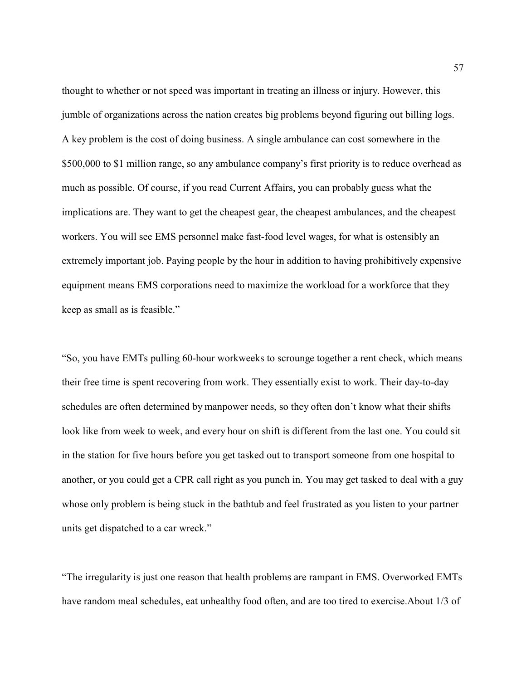thought to whether or not speed was important in treating an illness or injury. However, this jumble of organizations across the nation creates big problems beyond figuring out billing logs. A key problem is the cost of doing business. A single ambulance can cost somewhere in the \$500,000 to \$1 million range, so any ambulance company's first priority is to reduce overhead as much as possible. Of course, if you read Current Affairs, you can probably guess what the implications are. They want to get the cheapest gear, the cheapest ambulances, and the cheapest workers. You will see EMS personnel make fast-food level wages, for what is ostensibly an extremely important job. Paying people by the hour in addition to having prohibitively expensive equipment means EMS corporations need to maximize the workload for a workforce that they keep as small as is feasible."

"So, you have EMTs pulling 60-hour workweeks to scrounge together a rent check, which means their free time is spent recovering from work. They essentially exist to work. Their day-to-day schedules are often determined by manpower needs, so they often don't know what their shifts look like from week to week, and every hour on shift is different from the last one. You could sit in the station for five hours before you get tasked out to transport someone from one hospital to another, or you could get a CPR call right as you punch in. You may get tasked to deal with a guy whose only problem is being stuck in the bathtub and feel frustrated as you listen to your partner units get dispatched to a car wreck."

"The irregularity is just one reason that health problems are rampant in EMS. Overworked EMTs have random meal schedules, eat unhealthy food often, and are too tired to exercise.About 1/3 of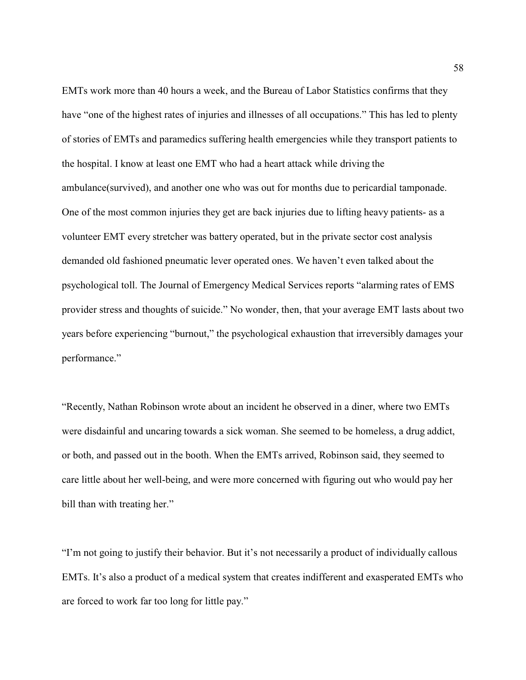EMTs work more than 40 hours a week, and the Bureau of Labor Statistics confirms that they have "one of the highest rates of injuries and illnesses of all occupations." This has led to plenty of stories of EMTs and paramedics suffering health emergencies while they transport patients to the hospital. I know at least one EMT who had a heart attack while driving the ambulance(survived), and another one who was out for months due to pericardial tamponade. One of the most common injuries they get are back injuries due to lifting heavy patients- as a volunteer EMT every stretcher was battery operated, but in the private sector cost analysis demanded old fashioned pneumatic lever operated ones. We haven't even talked about the psychological toll. The Journal of Emergency Medical Services reports "alarming rates of EMS provider stress and thoughts of suicide." No wonder, then, that your average EMT lasts about two years before experiencing "burnout," the psychological exhaustion that irreversibly damages your performance."

"Recently, Nathan Robinson wrote about an incident he observed in a diner, where two EMTs were disdainful and uncaring towards a sick woman. She seemed to be homeless, a drug addict, or both, and passed out in the booth. When the EMTs arrived, Robinson said, they seemed to care little about her well-being, and were more concerned with figuring out who would pay her bill than with treating her."

"I'm not going to justify their behavior. But it's not necessarily a product of individually callous EMTs. It's also a product of a medical system that creates indifferent and exasperated EMTs who are forced to work far too long for little pay."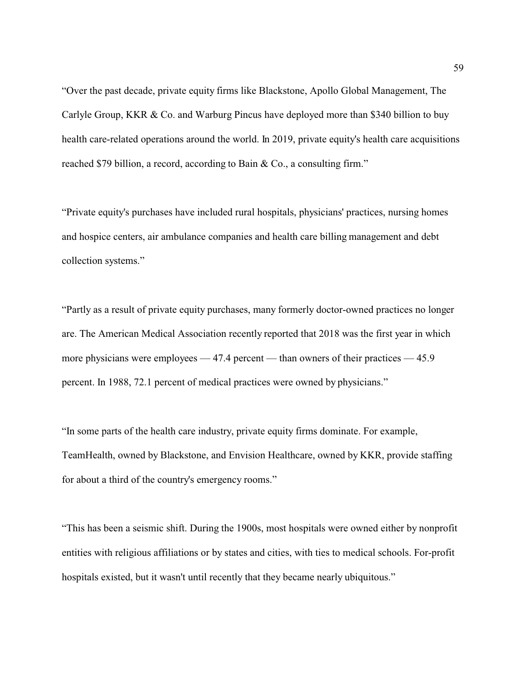"Over the past decade, private equity firms like Blackstone, Apollo Global Management, The Carlyle Group, KKR & Co. and Warburg Pincus have deployed more than \$340 billion to buy health care-related operations around the world. In 2019, private equity's health care acquisitions reached \$79 billion, a record, according to Bain & Co., a consulting firm."

"Private equity's purchases have included rural hospitals, physicians' practices, nursing homes and hospice centers, air ambulance companies and health care billing management and debt collection systems."

"Partly as a result of private equity purchases, many formerly doctor-owned practices no longer are. The American Medical Association recently reported that 2018 was the first year in which more physicians were employees — 47.4 percent — than owners of their practices — 45.9 percent. In 1988, 72.1 percent of medical practices were owned by physicians."

"In some parts of the health care industry, private equity firms dominate. For example, TeamHealth, owned by Blackstone, and Envision Healthcare, owned by KKR, provide staffing for about a third of the country's emergency rooms."

"This has been a seismic shift. During the 1900s, most hospitals were owned either by nonprofit entities with religious affiliations or by states and cities, with ties to medical schools. For-profit hospitals existed, but it wasn't until recently that they became nearly ubiquitous."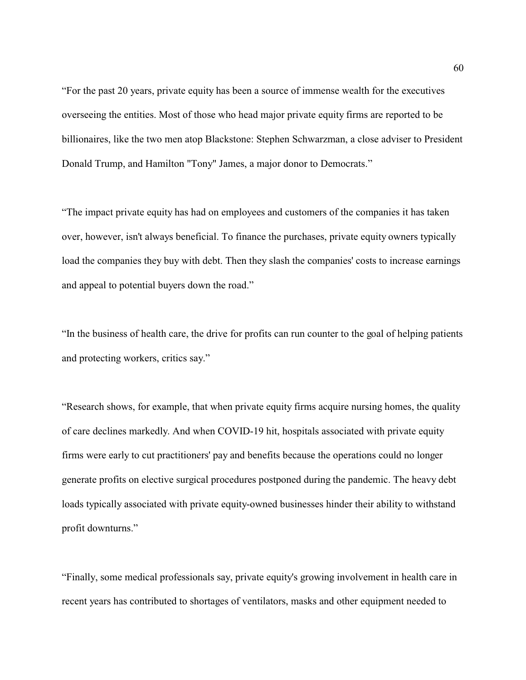"For the past 20 years, private equity has been a source of immense wealth for the executives overseeing the entities. Most of those who head major private equity firms are reported to be billionaires, like the two men atop Blackstone: Stephen Schwarzman, a close adviser to President Donald Trump, and Hamilton "Tony" James, a major donor to Democrats."

"The impact private equity has had on employees and customers of the companies it has taken over, however, isn't always beneficial. To finance the purchases, private equity owners typically load the companies they buy with debt. Then they slash the companies' costs to increase earnings and appeal to potential buyers down the road."

"In the business of health care, the drive for profits can run counter to the goal of helping patients and protecting workers, critics say."

"Research shows, for example, that when private equity firms acquire nursing homes, the quality of care declines markedly. And when COVID-19 hit, hospitals associated with private equity firms were early to cut practitioners' pay and benefits because the operations could no longer generate profits on elective surgical procedures postponed during the pandemic. The heavy debt loads typically associated with private equity-owned businesses hinder their ability to withstand profit downturns."

"Finally, some medical professionals say, private equity's growing involvement in health care in recent years has contributed to shortages of ventilators, masks and other equipment needed to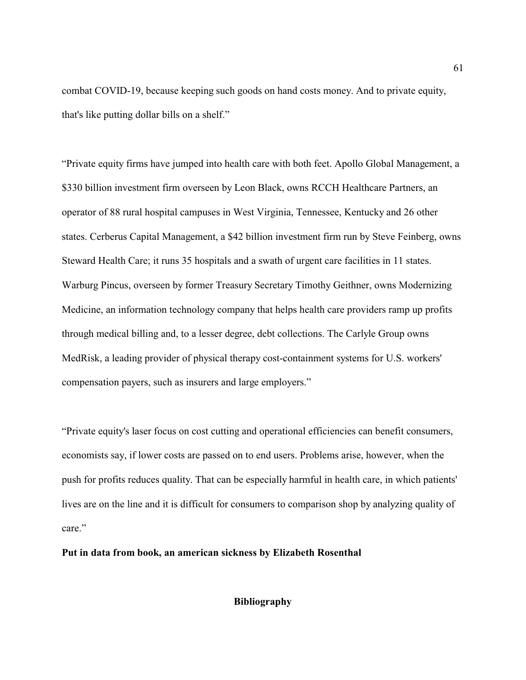combat COVID-19, because keeping such goods on hand costs money. And to private equity, that's like putting dollar bills on a shelf."

"Private equity firms have jumped into health care with both feet. Apollo Global Management, a \$330 billion investment firm overseen by Leon Black, owns RCCH Healthcare Partners, an operator of 88 rural hospital campuses in West Virginia, Tennessee, Kentucky and 26 other states. Cerberus Capital Management, a \$42 billion investment firm run by Steve Feinberg, owns Steward Health Care; it runs 35 hospitals and a swath of urgent care facilities in 11 states. Warburg Pincus, overseen by former Treasury Secretary Timothy Geithner, owns Modernizing Medicine, an information technology company that helps health care providers ramp up profits through medical billing and, to a lesser degree, debt collections. The Carlyle Group owns MedRisk, a leading provider of physical therapy cost-containment systems for U.S. workers' compensation payers, such as insurers and large employers."

"Private equity's laser focus on cost cutting and operational efficiencies can benefit consumers, economists say, if lower costs are passed on to end users. Problems arise, however, when the push for profits reduces quality. That can be especially harmful in health care, in which patients' lives are on the line and it is difficult for consumers to comparison shop by analyzing quality of care."

### **Put in data from book, an american sickness by Elizabeth Rosenthal**

**Bibliography**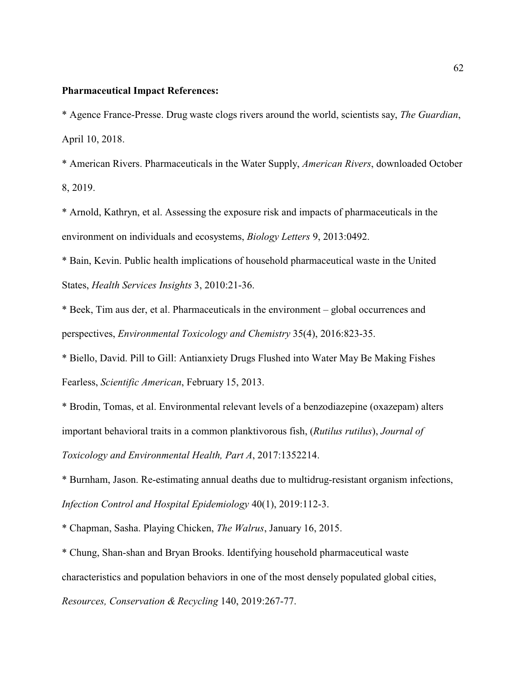#### **Pharmaceutical Impact References:**

\* Agence France-Presse. Drug waste clogs rivers around the world, scientists say, *The Guardian*, April 10, 2018.

\* American Rivers. Pharmaceuticals in the Water Supply, *American Rivers*, downloaded October 8, 2019.

\* Arnold, Kathryn, et al. Assessing the exposure risk and impacts of pharmaceuticals in the environment on individuals and ecosystems, *Biology Letters* 9, 2013:0492.

\* Bain, Kevin. Public health implications of household pharmaceutical waste in the United States, *Health Services Insights* 3, 2010:21-36.

\* Beek, Tim aus der, et al. Pharmaceuticals in the environment – global occurrences and perspectives, *Environmental Toxicology and Chemistry* 35(4), 2016:823-35.

\* Biello, David. Pill to Gill: Antianxiety Drugs Flushed into Water May Be Making Fishes Fearless, *Scientific American*, February 15, 2013.

\* Brodin, Tomas, et al. Environmental relevant levels of a benzodiazepine (oxazepam) alters important behavioral traits in a common planktivorous fish, (*Rutilus rutilus*), *Journal of Toxicology and Environmental Health, Part A*, 2017:1352214.

\* Burnham, Jason. Re-estimating annual deaths due to multidrug-resistant organism infections, *Infection Control and Hospital Epidemiology* 40(1), 2019:112-3.

\* Chapman, Sasha. Playing Chicken, *The Walrus*, January 16, 2015.

\* Chung, Shan-shan and Bryan Brooks. Identifying household pharmaceutical waste characteristics and population behaviors in one of the most densely populated global cities, *Resources, Conservation & Recycling* 140, 2019:267-77.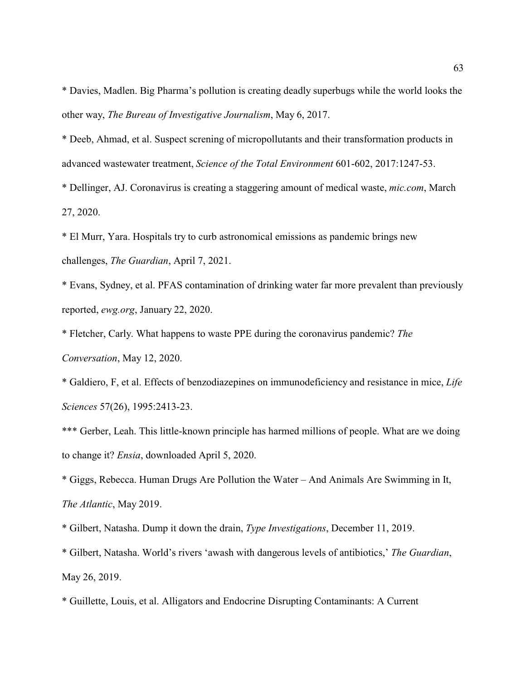\* Davies, Madlen. Big Pharma's pollution is creating deadly superbugs while the world looks the other way, *The Bureau of Investigative Journalism*, May 6, 2017.

\* Deeb, Ahmad, et al. Suspect screning of micropollutants and their transformation products in advanced wastewater treatment, *Science of the Total Environment* 601-602, 2017:1247-53.

\* Dellinger, AJ. Coronavirus is creating a staggering amount of medical waste, *mic.com*, March 27, 2020.

\* El Murr, Yara. Hospitals try to curb astronomical emissions as pandemic brings new challenges, *The Guardian*, April 7, 2021.

\* Evans, Sydney, et al. PFAS contamination of drinking water far more prevalent than previously reported, *ewg.org*, January 22, 2020.

\* Fletcher, Carly. What happens to waste PPE during the coronavirus pandemic? *The Conversation*, May 12, 2020.

\* Galdiero, F, et al. Effects of benzodiazepines on immunodeficiency and resistance in mice, *Life Sciences* 57(26), 1995:2413-23.

\*\*\* Gerber, Leah. This little-known principle has harmed millions of people. What are we doing to change it? *Ensia*, downloaded April 5, 2020.

\* Giggs, Rebecca. Human Drugs Are Pollution the Water – And Animals Are Swimming in It, *The Atlantic*, May 2019.

\* Gilbert, Natasha. Dump it down the drain, *Type Investigations*, December 11, 2019.

\* Gilbert, Natasha. World's rivers 'awash with dangerous levels of antibiotics,' *The Guardian*, May 26, 2019.

\* Guillette, Louis, et al. Alligators and Endocrine Disrupting Contaminants: A Current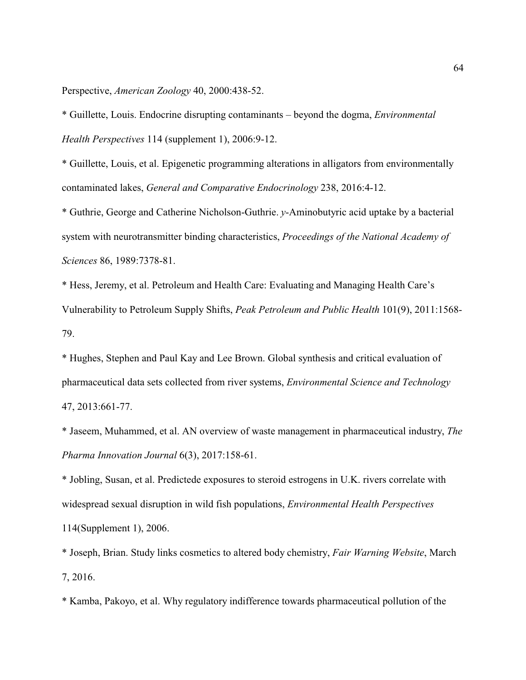Perspective, *American Zoology* 40, 2000:438-52.

\* Guillette, Louis. Endocrine disrupting contaminants – beyond the dogma, *Environmental Health Perspectives* 114 (supplement 1), 2006:9-12.

\* Guillette, Louis, et al. Epigenetic programming alterations in alligators from environmentally contaminated lakes, *General and Comparative Endocrinology* 238, 2016:4-12.

\* Guthrie, George and Catherine Nicholson-Guthrie. *y*-Aminobutyric acid uptake by a bacterial system with neurotransmitter binding characteristics, *Proceedings of the National Academy of Sciences* 86, 1989:7378-81.

\* Hess, Jeremy, et al. Petroleum and Health Care: Evaluating and Managing Health Care's Vulnerability to Petroleum Supply Shifts, *Peak Petroleum and Public Health* 101(9), 2011:1568- 79.

\* Hughes, Stephen and Paul Kay and Lee Brown. Global synthesis and critical evaluation of pharmaceutical data sets collected from river systems, *Environmental Science and Technology* 47, 2013:661-77.

\* Jaseem, Muhammed, et al. AN overview of waste management in pharmaceutical industry, *The Pharma Innovation Journal* 6(3), 2017:158-61.

\* Jobling, Susan, et al. Predictede exposures to steroid estrogens in U.K. rivers correlate with widespread sexual disruption in wild fish populations, *Environmental Health Perspectives* 114(Supplement 1), 2006.

\* Joseph, Brian. Study links cosmetics to altered body chemistry, *Fair Warning Website*, March 7, 2016.

\* Kamba, Pakoyo, et al. Why regulatory indifference towards pharmaceutical pollution of the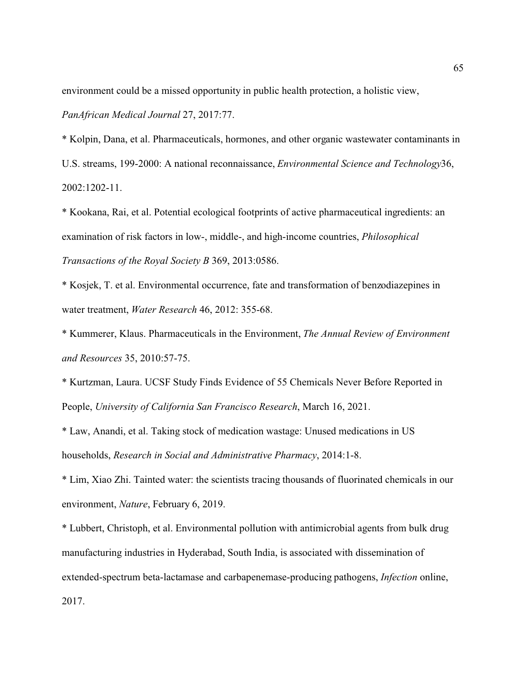environment could be a missed opportunity in public health protection, a holistic view,

*PanAfrican Medical Journal* 27, 2017:77.

\* Kolpin, Dana, et al. Pharmaceuticals, hormones, and other organic wastewater contaminants in U.S. streams, 199-2000: A national reconnaissance, *Environmental Science and Technology*36, 2002:1202-11.

\* Kookana, Rai, et al. Potential ecological footprints of active pharmaceutical ingredients: an examination of risk factors in low-, middle-, and high-income countries, *Philosophical Transactions of the Royal Society B* 369, 2013:0586.

\* Kosjek, T. et al. Environmental occurrence, fate and transformation of benzodiazepines in water treatment, *Water Research* 46, 2012: 355-68.

\* Kummerer, Klaus. Pharmaceuticals in the Environment, *The Annual Review of Environment and Resources* 35, 2010:57-75.

\* Kurtzman, Laura. UCSF Study Finds Evidence of 55 Chemicals Never Before Reported in People, *University of California San Francisco Research*, March 16, 2021.

\* Law, Anandi, et al. Taking stock of medication wastage: Unused medications in US households, *Research in Social and Administrative Pharmacy*, 2014:1-8.

\* Lim, Xiao Zhi. Tainted water: the scientists tracing thousands of fluorinated chemicals in our environment, *Nature*, February 6, 2019.

\* Lubbert, Christoph, et al. Environmental pollution with antimicrobial agents from bulk drug manufacturing industries in Hyderabad, South India, is associated with dissemination of extended-spectrum beta-lactamase and carbapenemase-producing pathogens, *Infection* online, 2017.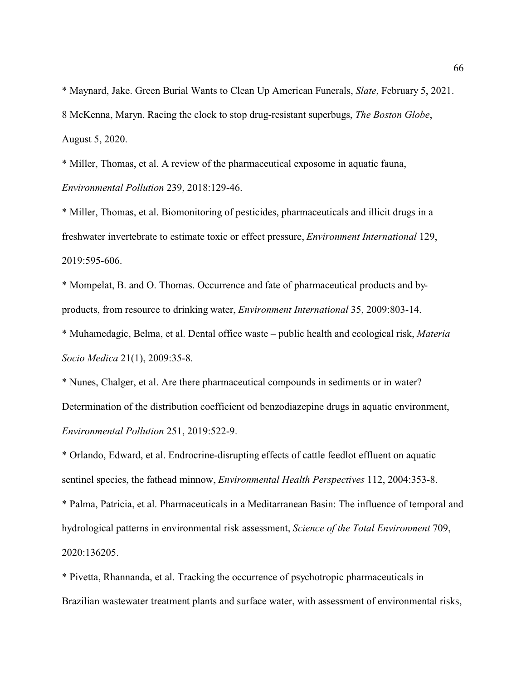\* Maynard, Jake. Green Burial Wants to Clean Up American Funerals, *Slate*, February 5, 2021. 8 McKenna, Maryn. Racing the clock to stop drug-resistant superbugs, *The Boston Globe*, August 5, 2020.

\* Miller, Thomas, et al. A review of the pharmaceutical exposome in aquatic fauna, *Environmental Pollution* 239, 2018:129-46.

\* Miller, Thomas, et al. Biomonitoring of pesticides, pharmaceuticals and illicit drugs in a freshwater invertebrate to estimate toxic or effect pressure, *Environment International* 129, 2019:595-606.

\* Mompelat, B. and O. Thomas. Occurrence and fate of pharmaceutical products and byproducts, from resource to drinking water, *Environment International* 35, 2009:803-14.

\* Muhamedagic, Belma, et al. Dental office waste – public health and ecological risk, *Materia Socio Medica* 21(1), 2009:35-8.

\* Nunes, Chalger, et al. Are there pharmaceutical compounds in sediments or in water? Determination of the distribution coefficient od benzodiazepine drugs in aquatic environment, *Environmental Pollution* 251, 2019:522-9.

\* Orlando, Edward, et al. Endrocrine-disrupting effects of cattle feedlot effluent on aquatic sentinel species, the fathead minnow, *Environmental Health Perspectives* 112, 2004:353-8.

\* Palma, Patricia, et al. Pharmaceuticals in a Meditarranean Basin: The influence of temporal and hydrological patterns in environmental risk assessment, *Science of the Total Environment* 709, 2020:136205.

\* Pivetta, Rhannanda, et al. Tracking the occurrence of psychotropic pharmaceuticals in Brazilian wastewater treatment plants and surface water, with assessment of environmental risks,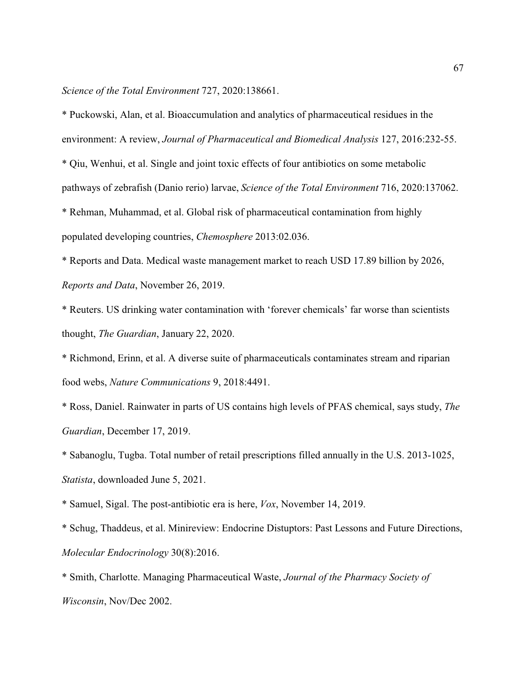*Science of the Total Environment* 727, 2020:138661.

\* Puckowski, Alan, et al. Bioaccumulation and analytics of pharmaceutical residues in the environment: A review, *Journal of Pharmaceutical and Biomedical Analysis* 127, 2016:232-55.

\* Qiu, Wenhui, et al. Single and joint toxic effects of four antibiotics on some metabolic pathways of zebrafish (Danio rerio) larvae, *Science of the Total Environment* 716, 2020:137062.

\* Rehman, Muhammad, et al. Global risk of pharmaceutical contamination from highly populated developing countries, *Chemosphere* 2013:02.036.

\* Reports and Data. Medical waste management market to reach USD 17.89 billion by 2026, *Reports and Data*, November 26, 2019.

\* Reuters. US drinking water contamination with 'forever chemicals' far worse than scientists thought, *The Guardian*, January 22, 2020.

\* Richmond, Erinn, et al. A diverse suite of pharmaceuticals contaminates stream and riparian food webs, *Nature Communications* 9, 2018:4491.

\* Ross, Daniel. Rainwater in parts of US contains high levels of PFAS chemical, says study, *The Guardian*, December 17, 2019.

\* Sabanoglu, Tugba. Total number of retail prescriptions filled annually in the U.S. 2013-1025, *Statista*, downloaded June 5, 2021.

\* Samuel, Sigal. The post-antibiotic era is here, *Vox*, November 14, 2019.

\* Schug, Thaddeus, et al. Minireview: Endocrine Distuptors: Past Lessons and Future Directions, *Molecular Endocrinology* 30(8):2016.

\* Smith, Charlotte. Managing Pharmaceutical Waste, *Journal of the Pharmacy Society of Wisconsin*, Nov/Dec 2002.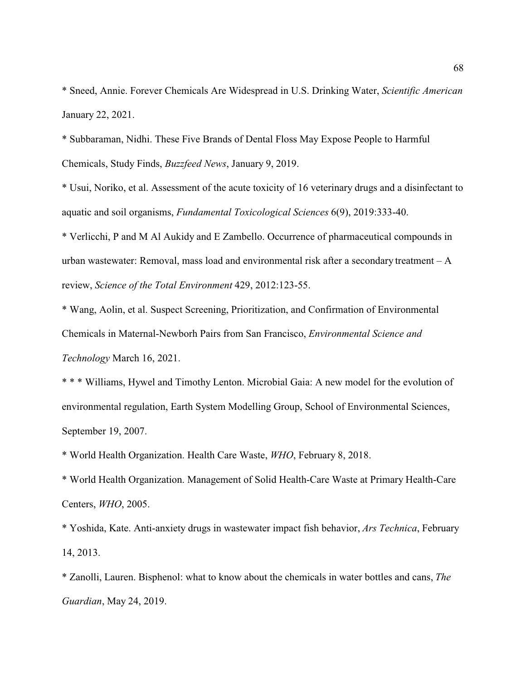\* Sneed, Annie. Forever Chemicals Are Widespread in U.S. Drinking Water, *Scientific American* January 22, 2021.

\* Subbaraman, Nidhi. These Five Brands of Dental Floss May Expose People to Harmful Chemicals, Study Finds, *Buzzfeed News*, January 9, 2019.

\* Usui, Noriko, et al. Assessment of the acute toxicity of 16 veterinary drugs and a disinfectant to aquatic and soil organisms, *Fundamental Toxicological Sciences* 6(9), 2019:333-40.

\* Verlicchi, P and M Al Aukidy and E Zambello. Occurrence of pharmaceutical compounds in urban wastewater: Removal, mass load and environmental risk after a secondary treatment – A review, *Science of the Total Environment* 429, 2012:123-55.

\* Wang, Aolin, et al. Suspect Screening, Prioritization, and Confirmation of Environmental Chemicals in Maternal-Newborh Pairs from San Francisco, *Environmental Science and Technology* March 16, 2021.

\* \* \* Williams, Hywel and Timothy Lenton. Microbial Gaia: A new model for the evolution of environmental regulation, Earth System Modelling Group, School of Environmental Sciences, September 19, 2007.

\* World Health Organization. Health Care Waste, *WHO*, February 8, 2018.

\* World Health Organization. Management of Solid Health-Care Waste at Primary Health-Care Centers, *WHO*, 2005.

\* Yoshida, Kate. Anti-anxiety drugs in wastewater impact fish behavior, *Ars Technica*, February 14, 2013.

\* Zanolli, Lauren. Bisphenol: what to know about the chemicals in water bottles and cans, *The Guardian*, May 24, 2019.